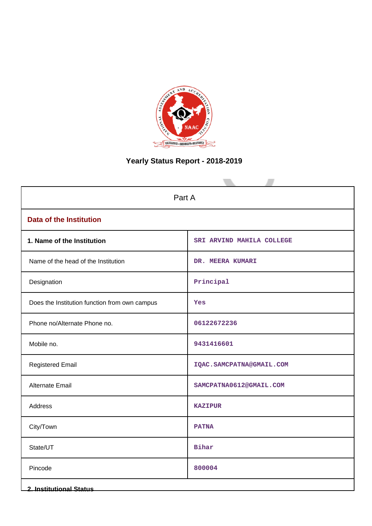

# **Yearly Status Report - 2018-2019**

| Part A                                        |                            |  |
|-----------------------------------------------|----------------------------|--|
| <b>Data of the Institution</b>                |                            |  |
| 1. Name of the Institution                    | SRI ARVIND MAHILA COLLEGE  |  |
| Name of the head of the Institution           | DR. MEERA KUMARI           |  |
| Designation                                   | Principal                  |  |
| Does the Institution function from own campus | Yes                        |  |
| Phone no/Alternate Phone no.                  | 06122672236                |  |
| Mobile no.                                    | 9431416601                 |  |
| <b>Registered Email</b>                       | IQAC. SAMCPATNA@GMAIL. COM |  |
| <b>Alternate Email</b>                        | SAMCPATNA0612@GMAIL.COM    |  |
| Address                                       | <b>KAZIPUR</b>             |  |
| City/Town                                     | <b>PATNA</b>               |  |
| State/UT                                      | Bihar                      |  |
| Pincode                                       | 800004                     |  |
| <b>2. Institutional Status</b>                |                            |  |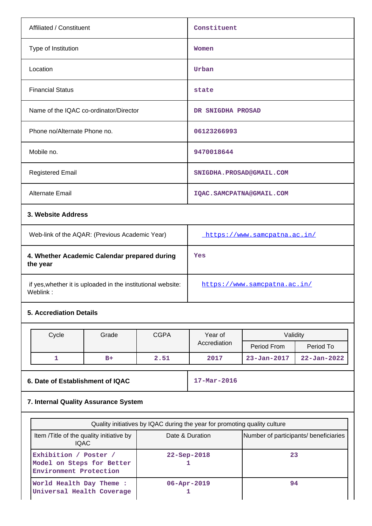| Affiliated / Constituent                                                 |                                        |                              | Constituent                  |                   |                   |
|--------------------------------------------------------------------------|----------------------------------------|------------------------------|------------------------------|-------------------|-------------------|
| Type of Institution                                                      |                                        | Women                        |                              |                   |                   |
| Location                                                                 |                                        |                              | Urban                        |                   |                   |
| <b>Financial Status</b>                                                  |                                        |                              | state                        |                   |                   |
|                                                                          | Name of the IQAC co-ordinator/Director |                              | DR SNIGDHA PROSAD            |                   |                   |
| Phone no/Alternate Phone no.                                             |                                        |                              | 06123266993                  |                   |                   |
| Mobile no.                                                               |                                        |                              | 9470018644                   |                   |                   |
| <b>Registered Email</b>                                                  |                                        | SNIGDHA.PROSAD@GMAIL.COM     |                              |                   |                   |
| Alternate Email                                                          |                                        |                              | IQAC.SAMCPATNA@GMAIL.COM     |                   |                   |
| 3. Website Address                                                       |                                        |                              |                              |                   |                   |
| Web-link of the AQAR: (Previous Academic Year)                           |                                        |                              | https://www.samcpatna.ac.in/ |                   |                   |
| 4. Whether Academic Calendar prepared during<br>the year                 |                                        | Yes                          |                              |                   |                   |
| if yes, whether it is uploaded in the institutional website:<br>Weblink: |                                        | https://www.samcpatna.ac.in/ |                              |                   |                   |
|                                                                          | <b>5. Accrediation Details</b>         |                              |                              |                   |                   |
| Cycle                                                                    | Grade                                  | <b>CGPA</b>                  | Year of<br>Accrediation      | Validity          |                   |
|                                                                          |                                        |                              |                              | Period From       | Period To         |
| $\mathbf{1}$                                                             | $B+$                                   | 2.51                         | 2017                         | $23 - Jan - 2017$ | $22 - Jan - 2022$ |
|                                                                          |                                        |                              |                              |                   |                   |

# **6. Date of Establishment of IQAC** 17-Mar-2016

# **7. Internal Quality Assurance System**

| Quality initiatives by IQAC during the year for promoting quality culture    |                                       |    |  |
|------------------------------------------------------------------------------|---------------------------------------|----|--|
| Item / Title of the quality initiative by<br><b>IQAC</b>                     | Number of participants/ beneficiaries |    |  |
| Exhibition / Poster /<br>Model on Steps for Better<br>Environment Protection | $22 -$ Sep-2018                       | 23 |  |
| World Health Day Theme :<br>Universal Health Coverage                        | $06 - Appr - 2019$                    | 94 |  |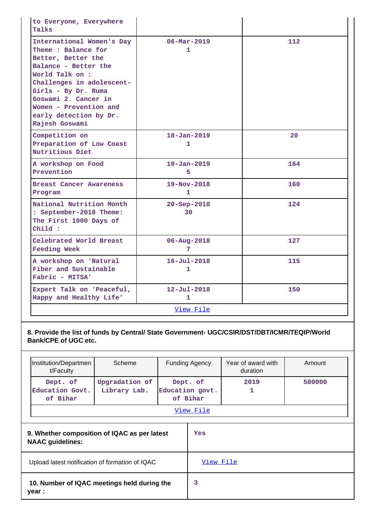| to Everyone, Everywhere<br>Talks                                                                                                                                                                                                                                   |                                          |     |
|--------------------------------------------------------------------------------------------------------------------------------------------------------------------------------------------------------------------------------------------------------------------|------------------------------------------|-----|
| International Women's Day<br>Theme: Balance for<br>Better, Better the<br>Balance - Better the<br>World Talk on :<br>Challenges in adolescent-<br>Girls - By Dr. Ruma<br>Goswami 2. Cancer in<br>Women - Prevention and<br>early detection by Dr.<br>Rajesh Goswami | $06 - \text{Mar} - 2019$<br>$\mathbf{1}$ | 112 |
| Competition on<br>Preparation of Low Coast<br>Nutritious Diet                                                                                                                                                                                                      | $18 - Jan - 2019$<br>1                   | 20  |
| A workshop on Food<br>Prevention                                                                                                                                                                                                                                   | $10 - Jan - 2019$<br>5                   | 164 |
| <b>Breast Cancer Awareness</b><br>Program                                                                                                                                                                                                                          | $19 - Nov - 2018$<br>$\mathbf{1}$        | 160 |
| National Nutrition Month<br>: September-2018 Theme:<br>The First 1000 Days of<br>Child:                                                                                                                                                                            | $20 - Sep - 2018$<br>30                  | 124 |
| Celebrated World Breast<br><b>Feeding Week</b>                                                                                                                                                                                                                     | $06 - Aug - 2018$<br>7                   | 127 |
| A workshop on 'Natural<br>Fiber and Sustainable<br>Fabric - MITSA'                                                                                                                                                                                                 | $16 - Ju1 - 2018$<br>1                   | 115 |
| Expert Talk on 'Peaceful,<br>Happy and Healthy Life'                                                                                                                                                                                                               | $12 - Ju1 - 2018$<br>$\mathbf{1}$        | 150 |
|                                                                                                                                                                                                                                                                    | View File                                |     |

**8. Provide the list of funds by Central/ State Government- UGC/CSIR/DST/DBT/ICMR/TEQIP/World Bank/CPE of UGC etc.**

| Institution/Departmen<br>t/Faculty                                      | Scheme                         |   | <b>Funding Agency</b>                   | Year of award with<br>duration | Amount |
|-------------------------------------------------------------------------|--------------------------------|---|-----------------------------------------|--------------------------------|--------|
| Dept. of<br>Education Govt.<br>of Bihar                                 | Upgradation of<br>Library Lab. |   | Dept. of<br>Education govt.<br>of Bihar | 2019<br>1                      | 500000 |
| View File                                                               |                                |   |                                         |                                |        |
| 9. Whether composition of IQAC as per latest<br><b>NAAC</b> guidelines: |                                |   | Yes                                     |                                |        |
| Upload latest notification of formation of IQAC                         |                                |   | View File                               |                                |        |
| 10. Number of IQAC meetings held during the<br>year :                   |                                | 3 |                                         |                                |        |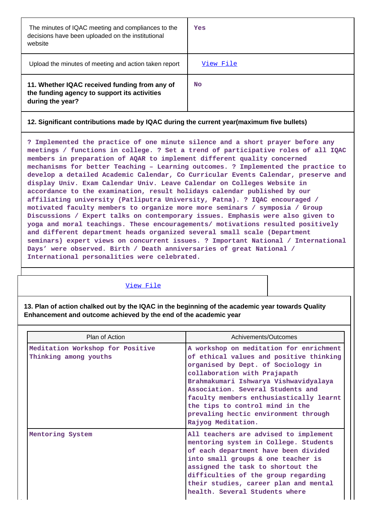| The minutes of IQAC meeting and compliances to the<br>decisions have been uploaded on the institutional<br>website | Yes       |
|--------------------------------------------------------------------------------------------------------------------|-----------|
| Upload the minutes of meeting and action taken report                                                              | View File |
| 11. Whether IQAC received funding from any of<br>the funding agency to support its activities<br>during the year?  | <b>No</b> |

## **12. Significant contributions made by IQAC during the current year(maximum five bullets)**

**? Implemented the practice of one minute silence and a short prayer before any meetings / functions in college. ? Set a trend of participative roles of all IQAC members in preparation of AQAR to implement different quality concerned mechanisms for better Teaching – Learning outcomes. ? Implemented the practice to develop a detailed Academic Calendar, Co Curricular Events Calendar, preserve and display Univ. Exam Calendar Univ. Leave Calendar on Colleges Website in accordance to the examination, result holidays calendar published by our affiliating university (Patliputra University, Patna). ? IQAC encouraged / motivated faculty members to organize more more seminars / symposia / Group Discussions / Expert talks on contemporary issues. Emphasis were also given to yoga and moral teachings. These encouragements/ motivations resulted positively and different department heads organized several small scale (Department seminars) expert views on concurrent issues. ? Important National / International Days' were observed. Birth / Death anniversaries of great National / International personalities were celebrated.**

#### [View File](https://assessmentonline.naac.gov.in/public/Postacc/Contribution/1722_Contribution.xlsx)

**13. Plan of action chalked out by the IQAC in the beginning of the academic year towards Quality Enhancement and outcome achieved by the end of the academic year**

| Plan of Action                                            | Achivements/Outcomes                                                                                                                                                                                                                                                                                                                                                               |
|-----------------------------------------------------------|------------------------------------------------------------------------------------------------------------------------------------------------------------------------------------------------------------------------------------------------------------------------------------------------------------------------------------------------------------------------------------|
| Meditation Workshop for Positive<br>Thinking among youths | A workshop on meditation for enrichment<br>of ethical values and positive thinking<br>organised by Dept. of Sociology in<br>collaboration with Prajapath<br>Brahmakumari Ishwarya Vishwavidyalaya<br>Association, Several Students and<br>faculty members enthusiastically learnt<br>the tips to control mind in the<br>prevaling hectic environment through<br>Rajyog Meditation. |
| Mentoring System                                          | All teachers are advised to implement<br>mentoring system in College. Students<br>of each department have been divided<br>into small groups & one teacher is<br>assigned the task to shortout the<br>difficulties of the group regarding<br>their studies, career plan and mental<br>health. Several Students where                                                                |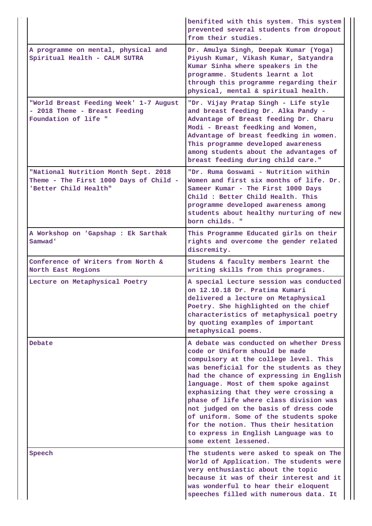|                                                                                                         | benifited with this system. This system<br>prevented several students from dropout<br>from their studies.                                                                                                                                                                                                                                                                                                                                                                                                                         |
|---------------------------------------------------------------------------------------------------------|-----------------------------------------------------------------------------------------------------------------------------------------------------------------------------------------------------------------------------------------------------------------------------------------------------------------------------------------------------------------------------------------------------------------------------------------------------------------------------------------------------------------------------------|
| A programme on mental, physical and<br>Spiritual Health - CALM SUTRA                                    | Dr. Amulya Singh, Deepak Kumar (Yoga)<br>Piyush Kumar, Vikash Kumar, Satyandra<br>Kumar Sinha where speakers in the<br>programme. Students learnt a lot<br>through this programme regarding their<br>physical, mental & spiritual health.                                                                                                                                                                                                                                                                                         |
| "World Breast Feeding Week' 1-7 August<br>- 2018 Theme - Breast Feeding<br>Foundation of life "         | "Dr. Vijay Pratap Singh - Life style<br>and breast feeding Dr. Alka Pandy -<br>Advantage of Breast feeding Dr. Charu<br>Modi - Breast feedking and Women,<br>Advantage of breast feedking in women.<br>This programme developed awareness<br>among students about the advantages of<br>breast feeding during child care."                                                                                                                                                                                                         |
| "National Nutrition Month Sept. 2018<br>Theme - The First 1000 Days of Child -<br>'Better Child Health" | "Dr. Ruma Goswami - Nutrition within<br>Women and first six months of life. Dr.<br>Sameer Kumar - The First 1000 Days<br>Child: Better Child Health. This<br>programme developed awareness among<br>students about healthy nurturing of new<br>born childs. "                                                                                                                                                                                                                                                                     |
| A Workshop on 'Gapshap : Ek Sarthak<br>Samwad'                                                          | This Programme Educated girls on their<br>rights and overcome the gender related<br>discremity.                                                                                                                                                                                                                                                                                                                                                                                                                                   |
| Conference of Writers from North &<br>North East Regions                                                | Studens & faculty members learnt the<br>writing skills from this programes.                                                                                                                                                                                                                                                                                                                                                                                                                                                       |
| Lecture on Metaphysical Poetry                                                                          | A special Lecture session was conducted<br>on 12.10.18 Dr. Pratima Kumari<br>delivered a lecture on Metaphysical<br>Poetry. She highlighted on the chief<br>characteristics of metaphysical poetry<br>by quoting examples of important<br>metaphysical poems.                                                                                                                                                                                                                                                                     |
| Debate                                                                                                  | A debate was conducted on whether Dress<br>code or Uniform should be made<br>compulsory at the college level. This<br>was beneficial for the students as they<br>had the chance of expressing in English<br>language. Most of them spoke against<br>exphasizing that they were crossing a<br>phase of life where class division was<br>not judged on the basis of dress code<br>of uniform. Some of the students spoke<br>for the notion. Thus their hesitation<br>to express in English Language was to<br>some extent lessened. |
| Speech                                                                                                  | The students were asked to speak on The<br>World of Application. The students were<br>very enthusiastic about the topic<br>because it was of their interest and it<br>was wonderful to hear their eloquent<br>speeches filled with numerous data. It                                                                                                                                                                                                                                                                              |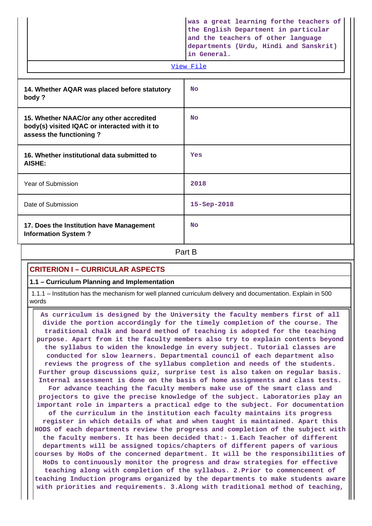| was a great learning forthe teachers of<br>the English Department in particular<br>and the teachers of other language<br>departments (Urdu, Hindi and Sanskrit)<br>in General. |  |  |
|--------------------------------------------------------------------------------------------------------------------------------------------------------------------------------|--|--|
| View File                                                                                                                                                                      |  |  |

| 14. Whether AQAR was placed before statutory<br>body?                                                                | <b>No</b>         |  |  |
|----------------------------------------------------------------------------------------------------------------------|-------------------|--|--|
| 15. Whether NAAC/or any other accredited<br>body(s) visited IQAC or interacted with it to<br>assess the functioning? | <b>No</b>         |  |  |
| 16. Whether institutional data submitted to<br>AISHE:                                                                | Yes               |  |  |
| Year of Submission                                                                                                   | 2018              |  |  |
| Date of Submission                                                                                                   | $15 - Sep - 2018$ |  |  |
| 17. Does the Institution have Management<br><b>Information System?</b>                                               | <b>No</b>         |  |  |
| Part B                                                                                                               |                   |  |  |

# **CRITERION I – CURRICULAR ASPECTS**

**1.1 – Curriculum Planning and Implementation**

 1.1.1 – Institution has the mechanism for well planned curriculum delivery and documentation. Explain in 500 words

 **As curriculum is designed by the University the faculty members first of all divide the portion accordingly for the timely completion of the course. The traditional chalk and board method of teaching is adopted for the teaching purpose. Apart from it the faculty members also try to explain contents beyond the syllabus to widen the knowledge in every subject. Tutorial classes are conducted for slow learners. Departmental council of each department also reviews the progress of the syllabus completion and needs of the students. Further group discussions quiz, surprise test is also taken on regular basis. Internal assessment is done on the basis of home assignments and class tests. For advance teaching the faculty members make use of the smart class and projectors to give the precise knowledge of the subject. Laboratories play an important role in imparters a practical edge to the subject. For documentation of the curriculum in the institution each faculty maintains its progress register in which details of what and when taught is maintained. Apart this HODS of each departments review the progress and completion of the subject with the faculty members. It has been decided that:- 1.Each Teacher of different departments will be assigned topics/chapters of different papers of various courses by HoDs of the concerned department. It will be the responsibilities of HoDs to continuously monitor the progress and draw strategies for effective teaching along with completion of the syllabus. 2.Prior to commencement of teaching Induction programs organized by the departments to make students aware with priorities and requirements. 3.Along with traditional method of teaching,**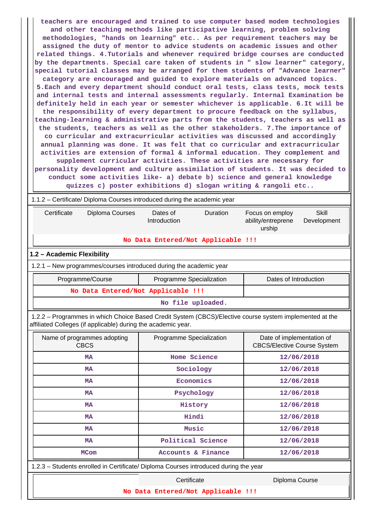**teachers are encouraged and trained to use computer based modem technologies and other teaching methods like participative learning, problem solving methodologies, "hands on learning" etc.. As per requirement teachers may be assigned the duty of mentor to advice students on academic issues and other related things. 4.Tutorials and whenever required bridge courses are conducted by the departments. Special care taken of students in " slow learner" category, special tutorial classes may be arranged for them students of "Advance learner" category are encouraged and guided to explore materials on advanced topics. 5.Each and every department should conduct oral tests, class tests, mock tests and internal tests and internal assessments regularly. Internal Examination be definitely held in each year or semester whichever is applicable. 6.It will be the responsibility of every department to procure feedback on the syllabus, teaching-learning & administrative parts from the students, teachers as well as the students, teachers as well as the other stakeholders. 7.The importance of co curricular and extracurricular activities was discussed and accordingly annual planning was done. It was felt that co curricular and extracurricular activities are extension of formal & informal education. They complement and supplement curricular activities. These activities are necessary for personality development and culture assimilation of students. It was decided to conduct some activities like- a) debate b) science and general knowledge quizzes c) poster exhibitions d) slogan writing & rangoli etc..**

| 1.1.2 - Certificate/ Diploma Courses introduced during the academic year             |                                                                                                         |                                                                                |  |  |
|--------------------------------------------------------------------------------------|---------------------------------------------------------------------------------------------------------|--------------------------------------------------------------------------------|--|--|
| Certificate<br>Diploma Courses                                                       | Dates of<br>Duration<br>Introduction                                                                    | <b>Skill</b><br>Focus on employ<br>ability/entreprene<br>Development<br>urship |  |  |
|                                                                                      | No Data Entered/Not Applicable !!!                                                                      |                                                                                |  |  |
| 1.2 - Academic Flexibility                                                           |                                                                                                         |                                                                                |  |  |
| 1.2.1 - New programmes/courses introduced during the academic year                   |                                                                                                         |                                                                                |  |  |
| Programme/Course                                                                     | Programme Specialization                                                                                | Dates of Introduction                                                          |  |  |
|                                                                                      | No Data Entered/Not Applicable !!!                                                                      |                                                                                |  |  |
|                                                                                      | No file uploaded.                                                                                       |                                                                                |  |  |
| affiliated Colleges (if applicable) during the academic year.                        | 1.2.2 - Programmes in which Choice Based Credit System (CBCS)/Elective course system implemented at the |                                                                                |  |  |
| Name of programmes adopting<br><b>CBCS</b>                                           | Programme Specialization                                                                                | Date of implementation of<br><b>CBCS/Elective Course System</b>                |  |  |
| <b>MA</b>                                                                            | Home Science                                                                                            | 12/06/2018                                                                     |  |  |
| <b>MA</b>                                                                            | Sociology                                                                                               | 12/06/2018                                                                     |  |  |
| <b>MA</b>                                                                            | Economics                                                                                               | 12/06/2018                                                                     |  |  |
| <b>MA</b>                                                                            | Psychology                                                                                              | 12/06/2018                                                                     |  |  |
| <b>MA</b>                                                                            | History                                                                                                 | 12/06/2018                                                                     |  |  |
| <b>MA</b>                                                                            | Hindi                                                                                                   | 12/06/2018                                                                     |  |  |
| <b>MA</b>                                                                            | Music                                                                                                   | 12/06/2018                                                                     |  |  |
| <b>MA</b>                                                                            | Political Science                                                                                       | 12/06/2018                                                                     |  |  |
| Accounts & Finance<br>12/06/2018<br><b>MCom</b>                                      |                                                                                                         |                                                                                |  |  |
| 1.2.3 - Students enrolled in Certificate/ Diploma Courses introduced during the year |                                                                                                         |                                                                                |  |  |
|                                                                                      | Certificate                                                                                             | Diploma Course                                                                 |  |  |

**No Data Entered/Not Applicable !!!**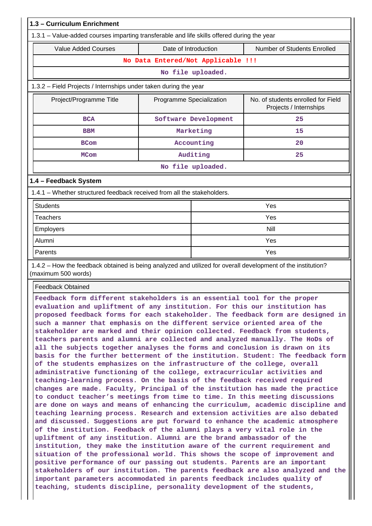| 1.3 - Curriculum Enrichment                                                                                                                                                                                                                                                                                                                                                                                                                                                                                                                                                                                                                                                                                                                                                                                                                                                                                                                                                                                                                                                                                                                                                                                                                                                                                                                                                                                                                                                                                                                                                                                                                                                                                                                                                                                                                                                                                                                                       |                                    |                      |                                                              |
|-------------------------------------------------------------------------------------------------------------------------------------------------------------------------------------------------------------------------------------------------------------------------------------------------------------------------------------------------------------------------------------------------------------------------------------------------------------------------------------------------------------------------------------------------------------------------------------------------------------------------------------------------------------------------------------------------------------------------------------------------------------------------------------------------------------------------------------------------------------------------------------------------------------------------------------------------------------------------------------------------------------------------------------------------------------------------------------------------------------------------------------------------------------------------------------------------------------------------------------------------------------------------------------------------------------------------------------------------------------------------------------------------------------------------------------------------------------------------------------------------------------------------------------------------------------------------------------------------------------------------------------------------------------------------------------------------------------------------------------------------------------------------------------------------------------------------------------------------------------------------------------------------------------------------------------------------------------------|------------------------------------|----------------------|--------------------------------------------------------------|
| 1.3.1 - Value-added courses imparting transferable and life skills offered during the year                                                                                                                                                                                                                                                                                                                                                                                                                                                                                                                                                                                                                                                                                                                                                                                                                                                                                                                                                                                                                                                                                                                                                                                                                                                                                                                                                                                                                                                                                                                                                                                                                                                                                                                                                                                                                                                                        |                                    |                      |                                                              |
| <b>Value Added Courses</b><br>Date of Introduction                                                                                                                                                                                                                                                                                                                                                                                                                                                                                                                                                                                                                                                                                                                                                                                                                                                                                                                                                                                                                                                                                                                                                                                                                                                                                                                                                                                                                                                                                                                                                                                                                                                                                                                                                                                                                                                                                                                |                                    |                      | Number of Students Enrolled                                  |
|                                                                                                                                                                                                                                                                                                                                                                                                                                                                                                                                                                                                                                                                                                                                                                                                                                                                                                                                                                                                                                                                                                                                                                                                                                                                                                                                                                                                                                                                                                                                                                                                                                                                                                                                                                                                                                                                                                                                                                   | No Data Entered/Not Applicable !!! |                      |                                                              |
|                                                                                                                                                                                                                                                                                                                                                                                                                                                                                                                                                                                                                                                                                                                                                                                                                                                                                                                                                                                                                                                                                                                                                                                                                                                                                                                                                                                                                                                                                                                                                                                                                                                                                                                                                                                                                                                                                                                                                                   |                                    | No file uploaded.    |                                                              |
| 1.3.2 - Field Projects / Internships under taken during the year                                                                                                                                                                                                                                                                                                                                                                                                                                                                                                                                                                                                                                                                                                                                                                                                                                                                                                                                                                                                                                                                                                                                                                                                                                                                                                                                                                                                                                                                                                                                                                                                                                                                                                                                                                                                                                                                                                  |                                    |                      |                                                              |
| Project/Programme Title                                                                                                                                                                                                                                                                                                                                                                                                                                                                                                                                                                                                                                                                                                                                                                                                                                                                                                                                                                                                                                                                                                                                                                                                                                                                                                                                                                                                                                                                                                                                                                                                                                                                                                                                                                                                                                                                                                                                           | Programme Specialization           |                      | No. of students enrolled for Field<br>Projects / Internships |
| <b>BCA</b>                                                                                                                                                                                                                                                                                                                                                                                                                                                                                                                                                                                                                                                                                                                                                                                                                                                                                                                                                                                                                                                                                                                                                                                                                                                                                                                                                                                                                                                                                                                                                                                                                                                                                                                                                                                                                                                                                                                                                        |                                    | Software Development | 25                                                           |
| <b>BBM</b>                                                                                                                                                                                                                                                                                                                                                                                                                                                                                                                                                                                                                                                                                                                                                                                                                                                                                                                                                                                                                                                                                                                                                                                                                                                                                                                                                                                                                                                                                                                                                                                                                                                                                                                                                                                                                                                                                                                                                        |                                    | Marketing            | 15                                                           |
| <b>BCom</b>                                                                                                                                                                                                                                                                                                                                                                                                                                                                                                                                                                                                                                                                                                                                                                                                                                                                                                                                                                                                                                                                                                                                                                                                                                                                                                                                                                                                                                                                                                                                                                                                                                                                                                                                                                                                                                                                                                                                                       |                                    | Accounting           | 20                                                           |
| <b>MCom</b>                                                                                                                                                                                                                                                                                                                                                                                                                                                                                                                                                                                                                                                                                                                                                                                                                                                                                                                                                                                                                                                                                                                                                                                                                                                                                                                                                                                                                                                                                                                                                                                                                                                                                                                                                                                                                                                                                                                                                       |                                    | Auditing             | 25                                                           |
|                                                                                                                                                                                                                                                                                                                                                                                                                                                                                                                                                                                                                                                                                                                                                                                                                                                                                                                                                                                                                                                                                                                                                                                                                                                                                                                                                                                                                                                                                                                                                                                                                                                                                                                                                                                                                                                                                                                                                                   |                                    | No file uploaded.    |                                                              |
| 1.4 - Feedback System                                                                                                                                                                                                                                                                                                                                                                                                                                                                                                                                                                                                                                                                                                                                                                                                                                                                                                                                                                                                                                                                                                                                                                                                                                                                                                                                                                                                                                                                                                                                                                                                                                                                                                                                                                                                                                                                                                                                             |                                    |                      |                                                              |
| 1.4.1 – Whether structured feedback received from all the stakeholders.                                                                                                                                                                                                                                                                                                                                                                                                                                                                                                                                                                                                                                                                                                                                                                                                                                                                                                                                                                                                                                                                                                                                                                                                                                                                                                                                                                                                                                                                                                                                                                                                                                                                                                                                                                                                                                                                                           |                                    |                      |                                                              |
| <b>Students</b>                                                                                                                                                                                                                                                                                                                                                                                                                                                                                                                                                                                                                                                                                                                                                                                                                                                                                                                                                                                                                                                                                                                                                                                                                                                                                                                                                                                                                                                                                                                                                                                                                                                                                                                                                                                                                                                                                                                                                   |                                    |                      | Yes                                                          |
| <b>Teachers</b>                                                                                                                                                                                                                                                                                                                                                                                                                                                                                                                                                                                                                                                                                                                                                                                                                                                                                                                                                                                                                                                                                                                                                                                                                                                                                                                                                                                                                                                                                                                                                                                                                                                                                                                                                                                                                                                                                                                                                   |                                    |                      | Yes                                                          |
| Employers                                                                                                                                                                                                                                                                                                                                                                                                                                                                                                                                                                                                                                                                                                                                                                                                                                                                                                                                                                                                                                                                                                                                                                                                                                                                                                                                                                                                                                                                                                                                                                                                                                                                                                                                                                                                                                                                                                                                                         |                                    |                      | <b>Nill</b>                                                  |
| Alumni                                                                                                                                                                                                                                                                                                                                                                                                                                                                                                                                                                                                                                                                                                                                                                                                                                                                                                                                                                                                                                                                                                                                                                                                                                                                                                                                                                                                                                                                                                                                                                                                                                                                                                                                                                                                                                                                                                                                                            |                                    | Yes                  |                                                              |
| Parents                                                                                                                                                                                                                                                                                                                                                                                                                                                                                                                                                                                                                                                                                                                                                                                                                                                                                                                                                                                                                                                                                                                                                                                                                                                                                                                                                                                                                                                                                                                                                                                                                                                                                                                                                                                                                                                                                                                                                           |                                    | Yes                  |                                                              |
| 1.4.2 – How the feedback obtained is being analyzed and utilized for overall development of the institution?<br>(maximum 500 words)                                                                                                                                                                                                                                                                                                                                                                                                                                                                                                                                                                                                                                                                                                                                                                                                                                                                                                                                                                                                                                                                                                                                                                                                                                                                                                                                                                                                                                                                                                                                                                                                                                                                                                                                                                                                                               |                                    |                      |                                                              |
| <b>Feedback Obtained</b>                                                                                                                                                                                                                                                                                                                                                                                                                                                                                                                                                                                                                                                                                                                                                                                                                                                                                                                                                                                                                                                                                                                                                                                                                                                                                                                                                                                                                                                                                                                                                                                                                                                                                                                                                                                                                                                                                                                                          |                                    |                      |                                                              |
| Feedback form different stakeholders is an essential tool for the proper<br>evaluation and upliftment of any institution. For this our institution has<br>proposed feedback forms for each stakeholder. The feedback form are designed in<br>such a manner that emphasis on the different service oriented area of the<br>stakeholder are marked and their opinion collected. Feedback from students,<br>teachers parents and alumni are collected and analyzed manually. The HoDs of<br>all the subjects together analyses the forms and conclusion is drawn on its<br>basis for the further betterment of the institution. Student: The feedback form<br>of the students emphasizes on the infrastructure of the college, overall<br>administrative functioning of the college, extracurricular activities and<br>teaching-learning process. On the basis of the feedback received required<br>changes are made. Faculty, Principal of the institution has made the practice<br>to conduct teacher's meetings from time to time. In this meeting discussions<br>are done on ways and means of enhancing the curriculum, academic discipline and<br>teaching learning process. Research and extension activities are also debated<br>and discussed. Suggestions are put forward to enhance the academic atmosphere<br>of the institution. Feedback of the alumni plays a very vital role in the<br>upliftment of any institution. Alumni are the brand ambassador of the<br>institution, they make the institution aware of the current requirement and<br>situation of the professional world. This shows the scope of improvement and<br>positive performance of our passing out students. Parents are an important<br>stakeholders of our institution. The parents feedback are also analyzed and the<br>important parameters accommodated in parents feedback includes quality of<br>teaching, students discipline, personality development of the students, |                                    |                      |                                                              |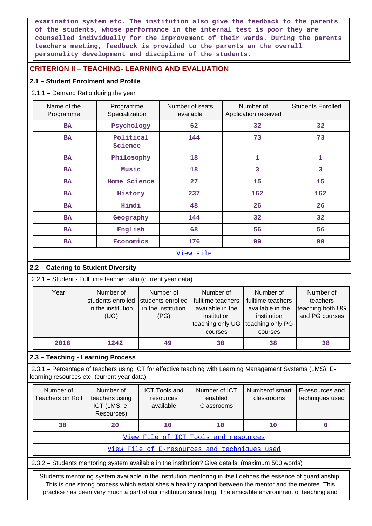**examination system etc. The institution also give the feedback to the parents of the students, whose performance in the internal test is poor they are counselled individually for the improvement of their wards. During the parents teachers meeting, feedback is provided to the parents an the overall personality development and discipline of the students.**

# **CRITERION II – TEACHING- LEARNING AND EVALUATION**

# **2.1 – Student Enrolment and Profile**

## 2.1.1 – Demand Ratio during the year

| Name of the<br>Programme | Programme<br>Specialization | Number of seats<br>Application received<br>available |     | <b>Students Enrolled</b> |
|--------------------------|-----------------------------|------------------------------------------------------|-----|--------------------------|
| <b>BA</b>                | Psychology                  | 62                                                   | 32  | 32                       |
| <b>BA</b>                | Political<br>Science        | 144                                                  | 73  | 73                       |
| <b>BA</b>                | Philosophy                  | 18                                                   | 1   | 1                        |
| <b>BA</b>                | Music                       | 18                                                   | 3   | 3                        |
| <b>BA</b>                | Home Science                | 27                                                   | 15  | 15                       |
| <b>BA</b>                | History                     | 237                                                  | 162 | 162                      |
| <b>BA</b>                | Hindi                       | 48                                                   | 26  | 26                       |
| <b>BA</b>                | Geography                   | 144                                                  | 32  | 32                       |
| <b>BA</b>                | English                     | 68                                                   | 56  | 56                       |
| <b>BA</b>                | Economics                   | 176                                                  | 99  | 99                       |
|                          |                             | View File                                            |     |                          |

# **2.2 – Catering to Student Diversity**

2.2.1 – Student - Full time teacher ratio (current year data)

| Year | Number of          | Number of          | Number of                                    | Number of         | Number of        |
|------|--------------------|--------------------|----------------------------------------------|-------------------|------------------|
|      | students enrolled  | students enrolled  | fulltime teachers                            | fulltime teachers | teachers         |
|      | in the institution | in the institution | available in the                             | available in the  | teaching both UG |
|      | (UG)               | (PG)               | institution                                  | institution       | and PG courses   |
|      |                    |                    | teaching only UG teaching only PG<br>courses | courses           |                  |
| 2018 | 1242               | 49                 | 38                                           | 38                | 38               |

# **2.3 – Teaching - Learning Process**

 2.3.1 – Percentage of teachers using ICT for effective teaching with Learning Management Systems (LMS), Elearning resources etc. (current year data)

| Number of<br>Teachers on Roll                | Number of<br>teachers using<br>ICT (LMS, e-<br>Resources) | <b>ICT Tools and</b><br>resources<br>available | Number of ICT<br>enabled<br>Classrooms | Numberof smart<br>classrooms | E-resources and<br>techniques used |  |  |  |  |  |
|----------------------------------------------|-----------------------------------------------------------|------------------------------------------------|----------------------------------------|------------------------------|------------------------------------|--|--|--|--|--|
| 38                                           | 20                                                        | 10<br>10                                       |                                        | 10                           |                                    |  |  |  |  |  |
|                                              | View File of ICT Tools and resources                      |                                                |                                        |                              |                                    |  |  |  |  |  |
| View File of E-resources and techniques used |                                                           |                                                |                                        |                              |                                    |  |  |  |  |  |

2.3.2 – Students mentoring system available in the institution? Give details. (maximum 500 words)

 Students mentoring system available in the institution mentoring in itself defines the essence of guardianship. This is one strong process which establishes a healthy rapport between the mentor and the mentee. This practice has been very much a part of our institution since long. The amicable environment of teaching and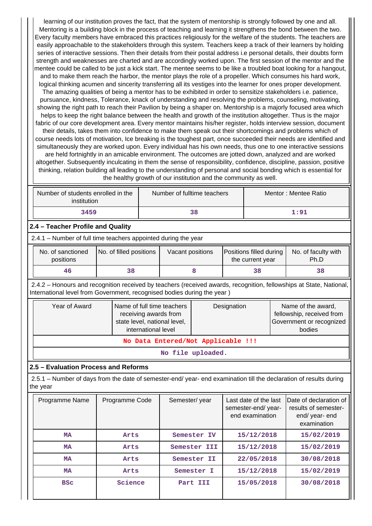learning of our institution proves the fact, that the system of mentorship is strongly followed by one and all. Mentoring is a building block in the process of teaching and learning it strengthens the bond between the two. Every faculty members have embraced this practices religiously for the welfare of the students. The teachers are easily approachable to the stakeholders through this system. Teachers keep a track of their learners by holding series of interactive sessions. Then their details from their postal address i.e personal details, their doubts form strength and weaknesses are charted and are accordingly worked upon. The first session of the mentor and the mentee could be called to be just a kick start. The mentee seems to be like a troubled boat looking for a hangout, and to make them reach the harbor, the mentor plays the role of a propeller. Which consumes his hard work, logical thinking acumen and sincerity transferring all its vestiges into the learner for ones proper development. The amazing qualities of being a mentor has to be exhibited in order to sensitize stakeholders i.e. patience, pursuance, kindness, Tolerance, knack of understanding and resolving the problems, counseling, motivating, showing the right path to reach their Pavilion by being a shaper on. Mentorship is a majorly focused area which helps to keep the right balance between the health and growth of the institution altogether. Thus is the major fabric of our core development area. Every mentor maintains his/her register, holds interview session, document their details, takes them into confidence to make them speak out their shortcomings and problems which of course needs lots of motivation, Ice breaking is the toughest part, once succeeded their needs are identified and simultaneously they are worked upon. Every individual has his own needs, thus one to one interactive sessions are held fortnightly in an amicable environment. The outcomes are jotted down, analyzed and are worked altogether. Subsequently inculcating in them the sense of responsibility, confidence, discipline, passion, positive thinking, relation building all leading to the understanding of personal and social bonding which is essential for the healthy growth of our institution and the community as well.

|                                                                                                                                                             | Number of students enrolled in the<br>institution              |    | Number of fulltime teachers |    |  | Mentor: Mentee Ratio |      |  |
|-------------------------------------------------------------------------------------------------------------------------------------------------------------|----------------------------------------------------------------|----|-----------------------------|----|--|----------------------|------|--|
|                                                                                                                                                             | 3459                                                           |    |                             | 38 |  |                      | 1:91 |  |
|                                                                                                                                                             | 2.4 - Teacher Profile and Quality                              |    |                             |    |  |                      |      |  |
|                                                                                                                                                             | 2.4.1 – Number of full time teachers appointed during the year |    |                             |    |  |                      |      |  |
| No. of sanctioned<br>No. of faculty with<br>No. of filled positions<br>Vacant positions<br>Positions filled during<br>positions<br>the current year<br>Ph.D |                                                                |    |                             |    |  |                      |      |  |
|                                                                                                                                                             | 46                                                             | 38 |                             | 8  |  | 38                   | 38   |  |

 2.4.2 – Honours and recognition received by teachers (received awards, recognition, fellowships at State, National, International level from Government, recognised bodies during the year )

| Name of full time teachers<br>receiving awards from<br>state level, national level,<br>international level | Designation | Name of the award,<br>fellowship, received from<br>Government or recognized<br>bodies |  |  |  |  |  |
|------------------------------------------------------------------------------------------------------------|-------------|---------------------------------------------------------------------------------------|--|--|--|--|--|
| No Data Entered/Not Applicable !!!                                                                         |             |                                                                                       |  |  |  |  |  |
|                                                                                                            |             |                                                                                       |  |  |  |  |  |

**No file uploaded.**

# **2.5 – Evaluation Process and Reforms**

 2.5.1 – Number of days from the date of semester-end/ year- end examination till the declaration of results during the year

| Programme Name | Programme Code | Semester/year | Last date of the last<br>semester-end/year-<br>end examination | Date of declaration of<br>results of semester-<br>end/year-end<br>examination |
|----------------|----------------|---------------|----------------------------------------------------------------|-------------------------------------------------------------------------------|
| MA             | Arts           | Semester IV   | 15/12/2018                                                     | 15/02/2019                                                                    |
| MA             | Arts           | Semester III  | 15/12/2018                                                     | 15/02/2019                                                                    |
| <b>MA</b>      | Arts           | Semester II   | 22/05/2018                                                     | 30/08/2018                                                                    |
| MA             | Arts           | Semester I    | 15/12/2018                                                     | 15/02/2019                                                                    |
| <b>BSC</b>     | Science        | Part III      | 15/05/2018                                                     | 30/08/2018                                                                    |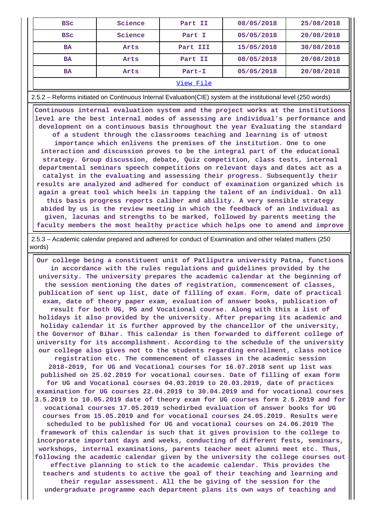| <b>BSC</b> | Science | Part II  | 08/05/2018 | 25/08/2018 |  |  |  |
|------------|---------|----------|------------|------------|--|--|--|
| <b>BSC</b> | Science | Part I   | 05/05/2018 | 20/08/2018 |  |  |  |
| <b>BA</b>  | Arts    | Part III | 15/05/2018 | 30/08/2018 |  |  |  |
| <b>BA</b>  | Arts    | Part II  | 08/05/2018 | 20/08/2018 |  |  |  |
| <b>BA</b>  | Arts    | Part-I   | 05/05/2018 | 20/08/2018 |  |  |  |
| View File  |         |          |            |            |  |  |  |

2.5.2 – Reforms initiated on Continuous Internal Evaluation(CIE) system at the institutional level (250 words)

 **Continuous internal evaluation system and the project works at the institutions level are the best internal modes of assessing are individual's performance and development on a continuous basis throughout the year Evaluating the standard of a student through the classrooms teaching and learning is of utmost importance which enlivens the premises of the institution. One to one interaction and discussion proves to be the integral part of the educational strategy. Group discussion, debate, Quiz competition, class tests, internal departmental seminars speech competitions on relevant days and dates act as a catalyst in the evaluating and assessing their progress. Subsequently their results are analyzed and adhered for conduct of examination organized which is again a great tool which heels in tapping the talent of an individual. On all this basis progress reports caliber and ability. A very sensible strategy abided by us is the review meeting in which the feedback of an individual as given, lacunas and strengths to be marked, followed by parents meeting the faculty members the most healthy practice which helps one to amend and improve**

 2.5.3 – Academic calendar prepared and adhered for conduct of Examination and other related matters (250 words)

 **Our college being a constituent unit of Patliputra university Patna, functions in accordance with the rules regulations and guidelines provided by the university. The university prepares the academic calendar at the beginning of the session mentioning the dates of registration, commencement of classes, publication of sent up list, date of filling of exam. Form, date of practical exam, date of theory paper exam, evaluation of answer books, publication of result for both UG, PG and Vocational course. Along with this a list of holidays it also provided by the university. After preparing its academic and holiday calendar it is further approved by the chancellor of the university, the Governor of Bihar. This calendar is then forwarded to different college of university for its accomplishment. According to the schedule of the university our college also gives not to the students regarding enrollment, class notice registration etc. The commencement of classes in the academic session 2018-2019, for UG and Vocational courses for 16.07.2018 sent up list was published on 25.02.2019 for vocational courses. Date of filling of exam form for UG and Vocational courses 04.03.2019 to 20.03.2019, date of practices examination for UG courses 22.04.2019 to 30.04.2019 and for vocational courses 3.5.2019 to 10.05.2019 date of theory exam for UG courses form 2.5.2019 and for vocational courses 17.05.2019 schedirbed evaluation of answer books for UG courses from 15.05.2019 and for vocational courses 24.05.2019. Results were scheduled to be published for UG and vocational courses on 24.06.2019 The framework of this calendar is such that it gives provision to the college to incorporate important days and weeks, conducting of different fests, seminars, workshops, internal examinations, parents teacher meet alumni meet etc. Thus, following the academic calendar given by the university the college courses out effective planning to stick to the academic calendar. This provides the teachers and students to active the goal of their teaching and learning and their regular assessment. All the be giving of the session for the undergraduate programme each department plans its own ways of teaching and**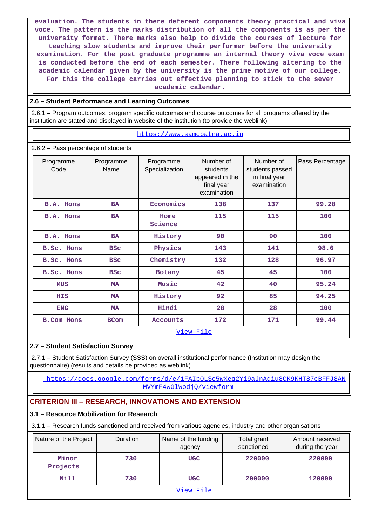**evaluation. The students in there deferent components theory practical and viva voce. The pattern is the marks distribution of all the components is as per the university format. There marks also help to divide the courses of lecture for teaching slow students and improve their performer before the university examination. For the post graduate programme an internal theory viva voce exam is conducted before the end of each semester. There following altering to the academic calendar given by the university is the prime motive of our college. For this the college carries out effective planning to stick to the sever academic calendar.**

### **2.6 – Student Performance and Learning Outcomes**

 2.6.1 – Program outcomes, program specific outcomes and course outcomes for all programs offered by the institution are stated and displayed in website of the institution (to provide the weblink)

#### <https://www.samcpatna.ac.in>

2.6.2 – Pass percentage of students

| Programme<br>Code                | Programme<br>Name | Programme<br>Specialization | Number of<br>students<br>students passed<br>appeared in the<br>final year<br>examination |     | Pass Percentage |  |  |  |  |
|----------------------------------|-------------------|-----------------------------|------------------------------------------------------------------------------------------|-----|-----------------|--|--|--|--|
| B.A. Hons                        | <b>BA</b>         | Economics                   | 138                                                                                      | 137 | 99.28           |  |  |  |  |
| B.A. Hons                        | <b>BA</b>         | Home<br>Science             | 115                                                                                      | 115 | 100             |  |  |  |  |
| B.A. Hons<br><b>BA</b>           |                   | History                     | 90                                                                                       | 90  | 100             |  |  |  |  |
| <b>B.Sc. Hons</b>                | <b>BSC</b>        | Physics<br>143              |                                                                                          | 141 | 98.6            |  |  |  |  |
| <b>B.Sc. Hons</b>                | <b>BSC</b>        | Chemistry                   | 132                                                                                      | 128 | 96.97           |  |  |  |  |
| <b>B.Sc. Hons</b>                | <b>BSC</b>        | Botany                      | 45                                                                                       | 45  | 100             |  |  |  |  |
| <b>MUS</b>                       | <b>MA</b>         | Music                       | 42                                                                                       | 40  | 95.24           |  |  |  |  |
| <b>HIS</b>                       | <b>MA</b>         | History                     | 92                                                                                       | 85  | 94.25           |  |  |  |  |
| <b>ENG</b>                       | <b>MA</b>         | Hindi                       | 28                                                                                       | 28  | 100             |  |  |  |  |
| <b>B.Com Hons</b><br><b>BCom</b> |                   | <b>Accounts</b>             | 172<br>171                                                                               |     | 99.44           |  |  |  |  |
| View File                        |                   |                             |                                                                                          |     |                 |  |  |  |  |

# **2.7 – Student Satisfaction Survey**

 2.7.1 – Student Satisfaction Survey (SSS) on overall institutional performance (Institution may design the questionnaire) (results and details be provided as weblink)

 [https://docs.google.com/forms/d/e/1FAIpQLSe5wXeq2Yi9aJnAqiu8CK9KHT87cBFFJ8AN](https://docs.google.com/forms/d/e/1FAIpQLSe5wXeq2Yi9aJnAqiu8CK9KHT87cBFFJ8ANMVYmF4wGlWodjQ/viewform) [MVYmF4wGlWodjQ/viewform](https://docs.google.com/forms/d/e/1FAIpQLSe5wXeq2Yi9aJnAqiu8CK9KHT87cBFFJ8ANMVYmF4wGlWodjQ/viewform) 

# **CRITERION III – RESEARCH, INNOVATIONS AND EXTENSION**

#### **3.1 – Resource Mobilization for Research**

3.1.1 – Research funds sanctioned and received from various agencies, industry and other organisations

| Nature of the Project | Duration | Name of the funding<br>agency | Total grant<br>sanctioned | Amount received<br>during the year |
|-----------------------|----------|-------------------------------|---------------------------|------------------------------------|
| Minor<br>Projects     | 730      | <b>UGC</b>                    | 220000                    | 220000                             |
| Nill                  | 730      | <b>UGC</b>                    | 200000                    | 120000                             |
|                       |          | View File                     |                           |                                    |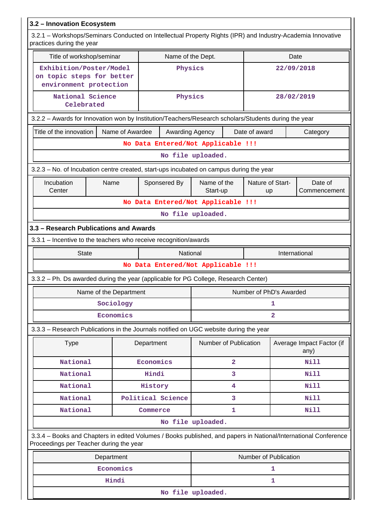| 3.2 - Innovation Ecosystem                                                                                                                                 |                                                               |                                    |         |                        |                |                         |               |                                   |
|------------------------------------------------------------------------------------------------------------------------------------------------------------|---------------------------------------------------------------|------------------------------------|---------|------------------------|----------------|-------------------------|---------------|-----------------------------------|
| 3.2.1 – Workshops/Seminars Conducted on Intellectual Property Rights (IPR) and Industry-Academia Innovative<br>practices during the year                   |                                                               |                                    |         |                        |                |                         |               |                                   |
| Title of workshop/seminar                                                                                                                                  |                                                               |                                    |         | Name of the Dept.      |                |                         | Date          |                                   |
| Exhibition/Poster/Model<br>on topic steps for better<br>environment protection                                                                             |                                                               |                                    | Physics |                        |                |                         | 22/09/2018    |                                   |
| National Science<br>Celebrated                                                                                                                             | Physics                                                       |                                    |         |                        | 28/02/2019     |                         |               |                                   |
| 3.2.2 - Awards for Innovation won by Institution/Teachers/Research scholars/Students during the year                                                       |                                                               |                                    |         |                        |                |                         |               |                                   |
|                                                                                                                                                            | Name of Awardee<br>Title of the innovation<br>Awarding Agency |                                    |         |                        |                | Date of award           |               | Category                          |
|                                                                                                                                                            |                                                               | No Data Entered/Not Applicable !!! |         |                        |                |                         |               |                                   |
|                                                                                                                                                            |                                                               |                                    |         | No file uploaded.      |                |                         |               |                                   |
| 3.2.3 – No. of Incubation centre created, start-ups incubated on campus during the year                                                                    |                                                               |                                    |         |                        |                |                         |               |                                   |
| Incubation<br>Center                                                                                                                                       | Sponsered By                                                  | Name of the<br>Start-up            |         | Nature of Start-<br>up |                | Date of<br>Commencement |               |                                   |
| No Data Entered/Not Applicable !!!                                                                                                                         |                                                               |                                    |         |                        |                |                         |               |                                   |
| No file uploaded.                                                                                                                                          |                                                               |                                    |         |                        |                |                         |               |                                   |
| 3.3 - Research Publications and Awards                                                                                                                     |                                                               |                                    |         |                        |                |                         |               |                                   |
| 3.3.1 - Incentive to the teachers who receive recognition/awards                                                                                           |                                                               |                                    |         |                        |                |                         |               |                                   |
| <b>State</b><br><b>National</b>                                                                                                                            |                                                               |                                    |         |                        |                |                         | International |                                   |
|                                                                                                                                                            |                                                               | No Data Entered/Not Applicable !!! |         |                        |                |                         |               |                                   |
| 3.3.2 - Ph. Ds awarded during the year (applicable for PG College, Research Center)                                                                        |                                                               |                                    |         |                        |                |                         |               |                                   |
|                                                                                                                                                            | Name of the Department                                        |                                    |         |                        |                | Number of PhD's Awarded |               |                                   |
|                                                                                                                                                            | Sociology                                                     |                                    |         |                        |                |                         | 1             |                                   |
|                                                                                                                                                            | Economics                                                     |                                    |         |                        |                |                         | 2             |                                   |
| 3.3.3 - Research Publications in the Journals notified on UGC website during the year                                                                      |                                                               |                                    |         |                        |                |                         |               |                                   |
| <b>Type</b>                                                                                                                                                |                                                               | Department                         |         | Number of Publication  |                |                         |               | Average Impact Factor (if<br>any) |
| National                                                                                                                                                   |                                                               | Economics                          |         |                        | $\overline{a}$ |                         |               | Nill                              |
| National                                                                                                                                                   |                                                               | Hindi                              |         |                        | 3              |                         |               | Nill                              |
| National                                                                                                                                                   |                                                               | History                            |         |                        | 4              |                         |               | <b>Nill</b>                       |
| National                                                                                                                                                   |                                                               | Political Science                  |         |                        | 3              |                         |               | Nill                              |
| National                                                                                                                                                   |                                                               | Commerce                           |         |                        | 1              |                         |               | Nill                              |
|                                                                                                                                                            |                                                               |                                    |         | No file uploaded.      |                |                         |               |                                   |
| 3.3.4 - Books and Chapters in edited Volumes / Books published, and papers in National/International Conference<br>Proceedings per Teacher during the year |                                                               |                                    |         |                        |                |                         |               |                                   |
|                                                                                                                                                            | Department                                                    |                                    |         |                        |                | Number of Publication   |               |                                   |
|                                                                                                                                                            | Economics                                                     |                                    |         |                        |                |                         | 1             |                                   |
|                                                                                                                                                            | Hindi                                                         |                                    |         |                        |                |                         | 1             |                                   |
|                                                                                                                                                            | No file uploaded.                                             |                                    |         |                        |                |                         |               |                                   |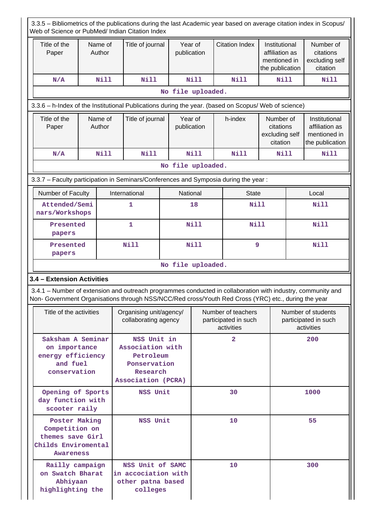| 3.3.5 – Bibliometrics of the publications during the last Academic year based on average citation index in Scopus/<br>Web of Science or PubMed/ Indian Citation Index                                              |                   |  |                                                                                                |                                                 |                        |                                                          |                       |                                                                    |                                                          |                                                                    |
|--------------------------------------------------------------------------------------------------------------------------------------------------------------------------------------------------------------------|-------------------|--|------------------------------------------------------------------------------------------------|-------------------------------------------------|------------------------|----------------------------------------------------------|-----------------------|--------------------------------------------------------------------|----------------------------------------------------------|--------------------------------------------------------------------|
| Title of the<br>Paper                                                                                                                                                                                              | Name of<br>Author |  | Title of journal                                                                               |                                                 | Year of<br>publication |                                                          | <b>Citation Index</b> | Institutional<br>affiliation as<br>mentioned in<br>the publication |                                                          | Number of<br>citations<br>excluding self<br>citation               |
| N/A                                                                                                                                                                                                                | <b>Nill</b>       |  | <b>Nill</b>                                                                                    |                                                 | <b>Nill</b>            |                                                          | <b>Nill</b>           |                                                                    | <b>Nill</b><br>Nill                                      |                                                                    |
|                                                                                                                                                                                                                    |                   |  |                                                                                                | No file uploaded.                               |                        |                                                          |                       |                                                                    |                                                          |                                                                    |
| 3.3.6 - h-Index of the Institutional Publications during the year. (based on Scopus/ Web of science)                                                                                                               |                   |  |                                                                                                |                                                 |                        |                                                          |                       |                                                                    |                                                          |                                                                    |
| Title of the<br>Paper                                                                                                                                                                                              | Name of<br>Author |  |                                                                                                | Title of journal<br>Year of<br>publication      |                        |                                                          | h-index               | Number of<br>citations<br>excluding self<br>citation               |                                                          | Institutional<br>affiliation as<br>mentioned in<br>the publication |
| N/A                                                                                                                                                                                                                | <b>Nill</b>       |  | <b>Nill</b>                                                                                    |                                                 | <b>Nill</b>            |                                                          | Nill                  | Nill                                                               |                                                          | <b>Nill</b>                                                        |
|                                                                                                                                                                                                                    |                   |  |                                                                                                | No file uploaded.                               |                        |                                                          |                       |                                                                    |                                                          |                                                                    |
| 3.3.7 - Faculty participation in Seminars/Conferences and Symposia during the year:                                                                                                                                |                   |  |                                                                                                |                                                 |                        |                                                          |                       |                                                                    |                                                          |                                                                    |
| Number of Faculty                                                                                                                                                                                                  |                   |  | International                                                                                  |                                                 | National               |                                                          | <b>State</b>          |                                                                    |                                                          | Local                                                              |
| Attended/Semi<br>nars/Workshops                                                                                                                                                                                    |                   |  | 1                                                                                              |                                                 | 18                     |                                                          | <b>Nill</b>           |                                                                    |                                                          | <b>Nill</b>                                                        |
| Presented<br>papers                                                                                                                                                                                                |                   |  | 1                                                                                              |                                                 | <b>Nill</b>            |                                                          | <b>Nill</b>           |                                                                    | <b>Nill</b>                                              |                                                                    |
| Presented<br>papers                                                                                                                                                                                                |                   |  | <b>Nill</b>                                                                                    | <b>Nill</b>                                     |                        |                                                          | 9                     |                                                                    | <b>Nill</b>                                              |                                                                    |
|                                                                                                                                                                                                                    |                   |  |                                                                                                | No file uploaded.                               |                        |                                                          |                       |                                                                    |                                                          |                                                                    |
| 3.4 - Extension Activities                                                                                                                                                                                         |                   |  |                                                                                                |                                                 |                        |                                                          |                       |                                                                    |                                                          |                                                                    |
| 3.4.1 – Number of extension and outreach programmes conducted in collaboration with industry, community and<br>Non- Government Organisations through NSS/NCC/Red cross/Youth Red Cross (YRC) etc., during the year |                   |  |                                                                                                |                                                 |                        |                                                          |                       |                                                                    |                                                          |                                                                    |
| Title of the activities                                                                                                                                                                                            |                   |  |                                                                                                | Organising unit/agency/<br>collaborating agency |                        | Number of teachers<br>participated in such<br>activities |                       |                                                                    | Number of students<br>participated in such<br>activities |                                                                    |
| Saksham A Seminar<br>on importance<br>energy efficiency<br>and fuel<br>conservation                                                                                                                                |                   |  | NSS Unit in<br>Association with<br>Petroleum<br>Ponservation<br>Research<br>Association (PCRA) |                                                 |                        | $\overline{2}$                                           |                       |                                                                    | 200                                                      |                                                                    |
| Opening of Sports<br>NSS Unit<br>day function with<br>scooter raily                                                                                                                                                |                   |  |                                                                                                |                                                 | 30                     |                                                          | 1000                  |                                                                    |                                                          |                                                                    |
| Poster Making<br>NSS Unit<br>Competition on<br>themes save Girl<br>Childs Enviromental<br>Awareness                                                                                                                |                   |  |                                                                                                |                                                 |                        | 10                                                       |                       |                                                                    | 55                                                       |                                                                    |
| Railly campaign<br>on Swatch Bharat<br>Abhiyaan<br>highlighting the                                                                                                                                                |                   |  | NSS Unit of SAMC<br>in accociation with<br>other patna based<br>colleges                       |                                                 |                        |                                                          | 10                    |                                                                    |                                                          | 300                                                                |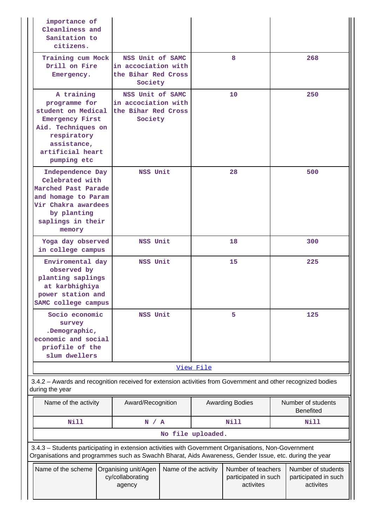| importance of<br>Cleanliness and<br>Sanitation to<br>citizens.                                                                                                                                                 |  |                                                                           |                      |           |                                                         |  |                                                         |  |
|----------------------------------------------------------------------------------------------------------------------------------------------------------------------------------------------------------------|--|---------------------------------------------------------------------------|----------------------|-----------|---------------------------------------------------------|--|---------------------------------------------------------|--|
| Training cum Mock<br>Drill on Fire<br>Emergency.                                                                                                                                                               |  | NSS Unit of SAMC<br>in accociation with<br>the Bihar Red Cross<br>Society |                      |           | 8                                                       |  | 268                                                     |  |
| A training<br>programme for<br>student on Medical<br><b>Emergency First</b><br>Aid. Techniques on<br>respiratory<br>assistance,<br>artificial heart<br>pumping etc                                             |  | NSS Unit of SAMC<br>in accociation with<br>the Bihar Red Cross<br>Society |                      |           | 10                                                      |  | 250                                                     |  |
| Independence Day<br>Celebrated with<br>Marched Past Parade<br>and homage to Param<br>Vir Chakra awardees<br>by planting<br>saplings in their<br>memory                                                         |  | NSS Unit                                                                  |                      |           | 28                                                      |  | 500                                                     |  |
| Yoga day observed<br>in college campus                                                                                                                                                                         |  | NSS Unit                                                                  |                      |           | 18                                                      |  | 300                                                     |  |
| Enviromental day<br>observed by<br>planting saplings<br>at karbhighiya<br>power station and<br>SAMC college campus                                                                                             |  | NSS Unit                                                                  |                      | 15        |                                                         |  | 225                                                     |  |
| Socio economic<br>survey<br>.Demographic,<br>economic and social<br>priofile of the<br>slum dwellers                                                                                                           |  | NSS Unit                                                                  |                      |           | 5                                                       |  | 125                                                     |  |
|                                                                                                                                                                                                                |  |                                                                           |                      | View File |                                                         |  |                                                         |  |
| 3.4.2 - Awards and recognition received for extension activities from Government and other recognized bodies<br>during the year                                                                                |  |                                                                           |                      |           |                                                         |  |                                                         |  |
| Name of the activity                                                                                                                                                                                           |  | Award/Recognition                                                         |                      |           | <b>Awarding Bodies</b>                                  |  | Number of students<br><b>Benefited</b>                  |  |
| <b>Nill</b>                                                                                                                                                                                                    |  | N / A                                                                     |                      |           | <b>Nill</b>                                             |  | Nill                                                    |  |
|                                                                                                                                                                                                                |  |                                                                           | No file uploaded.    |           |                                                         |  |                                                         |  |
| 3.4.3 - Students participating in extension activities with Government Organisations, Non-Government<br>Organisations and programmes such as Swachh Bharat, Aids Awareness, Gender Issue, etc. during the year |  |                                                                           |                      |           |                                                         |  |                                                         |  |
| Name of the scheme                                                                                                                                                                                             |  | Organising unit/Agen<br>cy/collaborating<br>agency                        | Name of the activity |           | Number of teachers<br>participated in such<br>activites |  | Number of students<br>participated in such<br>activites |  |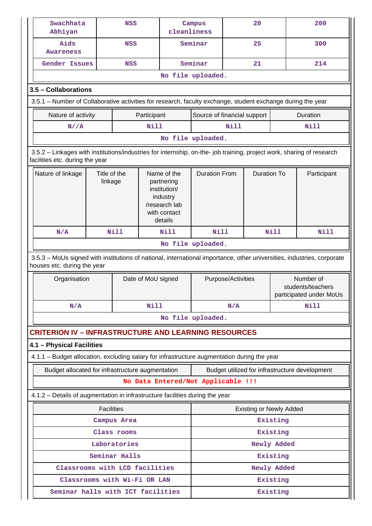| Swachhata<br>Abhiyan                                                                                                                                     |  | <b>NSS</b> |                    | cleanliness                                                                                       | Campus                                                                |             | 20                 |             | 200                                                       |  |  |
|----------------------------------------------------------------------------------------------------------------------------------------------------------|--|------------|--------------------|---------------------------------------------------------------------------------------------------|-----------------------------------------------------------------------|-------------|--------------------|-------------|-----------------------------------------------------------|--|--|
| Aids<br>Awareness                                                                                                                                        |  | <b>NSS</b> |                    |                                                                                                   | Seminar                                                               |             | 25                 |             | 300                                                       |  |  |
| <b>Gender Issues</b>                                                                                                                                     |  | <b>NSS</b> |                    |                                                                                                   | Seminar                                                               |             | 21                 |             | 214                                                       |  |  |
|                                                                                                                                                          |  |            |                    |                                                                                                   | No file uploaded.                                                     |             |                    |             |                                                           |  |  |
| 3.5 - Collaborations                                                                                                                                     |  |            |                    |                                                                                                   |                                                                       |             |                    |             |                                                           |  |  |
| 3.5.1 – Number of Collaborative activities for research, faculty exchange, student exchange during the year                                              |  |            |                    |                                                                                                   |                                                                       |             |                    |             |                                                           |  |  |
| Nature of activity                                                                                                                                       |  |            | Participant        |                                                                                                   | Source of financial support                                           |             |                    |             | Duration                                                  |  |  |
| N//A                                                                                                                                                     |  |            | Nill               |                                                                                                   |                                                                       | <b>Nill</b> |                    |             | Nill                                                      |  |  |
|                                                                                                                                                          |  |            |                    |                                                                                                   | No file uploaded.                                                     |             |                    |             |                                                           |  |  |
| 3.5.2 - Linkages with institutions/industries for internship, on-the- job training, project work, sharing of research<br>facilities etc. during the year |  |            |                    |                                                                                                   |                                                                       |             |                    |             |                                                           |  |  |
| Nature of linkage<br>Title of the<br>linkage                                                                                                             |  |            |                    | Name of the<br>partnering<br>institution/<br>industry<br>/research lab<br>with contact<br>details | <b>Duration From</b>                                                  |             | <b>Duration To</b> |             | Participant                                               |  |  |
| N/A                                                                                                                                                      |  | Nill       |                    | <b>Nill</b>                                                                                       | Nill                                                                  |             |                    | <b>Nill</b> | <b>Nill</b>                                               |  |  |
|                                                                                                                                                          |  |            |                    |                                                                                                   | No file uploaded.                                                     |             |                    |             |                                                           |  |  |
| 3.5.3 – MoUs signed with institutions of national, international importance, other universities, industries, corporate<br>houses etc. during the year    |  |            |                    |                                                                                                   |                                                                       |             |                    |             |                                                           |  |  |
| Organisation                                                                                                                                             |  |            | Date of MoU signed |                                                                                                   | Purpose/Activities                                                    |             |                    |             | Number of<br>students/teachers<br>participated under MoUs |  |  |
| N/A                                                                                                                                                      |  |            | <b>Nill</b>        |                                                                                                   | N/A                                                                   |             | Nill               |             |                                                           |  |  |
|                                                                                                                                                          |  |            |                    |                                                                                                   | No file uploaded.                                                     |             |                    |             |                                                           |  |  |
| <b>CRITERION IV - INFRASTRUCTURE AND LEARNING RESOURCES</b>                                                                                              |  |            |                    |                                                                                                   |                                                                       |             |                    |             |                                                           |  |  |
| 4.1 - Physical Facilities                                                                                                                                |  |            |                    |                                                                                                   |                                                                       |             |                    |             |                                                           |  |  |
| 4.1.1 - Budget allocation, excluding salary for infrastructure augmentation during the year                                                              |  |            |                    |                                                                                                   |                                                                       |             |                    |             |                                                           |  |  |
| Budget allocated for infrastructure augmentation                                                                                                         |  |            |                    |                                                                                                   | Budget utilized for infrastructure development                        |             |                    |             |                                                           |  |  |
|                                                                                                                                                          |  |            |                    |                                                                                                   | No Data Entered/Not Applicable !!!                                    |             |                    |             |                                                           |  |  |
| 4.1.2 - Details of augmentation in infrastructure facilities during the year                                                                             |  |            |                    |                                                                                                   |                                                                       |             |                    |             |                                                           |  |  |
|                                                                                                                                                          |  |            |                    |                                                                                                   |                                                                       |             |                    |             |                                                           |  |  |
| Campus Area                                                                                                                                              |  |            |                    |                                                                                                   |                                                                       |             |                    |             |                                                           |  |  |
| Class rooms                                                                                                                                              |  |            |                    | Existing                                                                                          |                                                                       |             |                    |             |                                                           |  |  |
| Laboratories                                                                                                                                             |  |            |                    |                                                                                                   | Newly Added                                                           |             |                    |             |                                                           |  |  |
|                                                                                                                                                          |  |            |                    |                                                                                                   |                                                                       |             |                    |             |                                                           |  |  |
| Classrooms with Wi-Fi OR LAN                                                                                                                             |  |            |                    |                                                                                                   | Existing                                                              |             |                    |             |                                                           |  |  |
|                                                                                                                                                          |  |            |                    |                                                                                                   |                                                                       |             |                    |             |                                                           |  |  |
| <b>Facilities</b><br>Seminar Halls<br>Classrooms with LCD facilities                                                                                     |  |            |                    |                                                                                                   | <b>Existing or Newly Added</b><br>Existing<br>Existing<br>Newly Added |             |                    |             |                                                           |  |  |
| Seminar halls with ICT facilities                                                                                                                        |  |            |                    |                                                                                                   | Existing                                                              |             |                    |             |                                                           |  |  |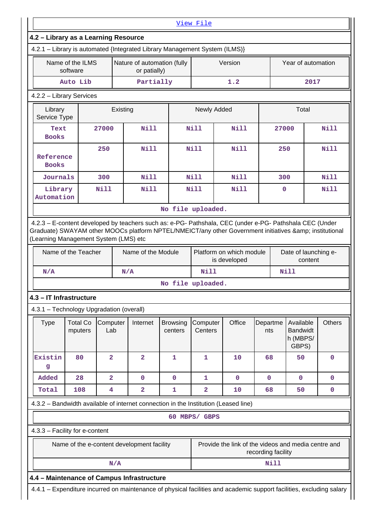|                                                                                                                         |                              |                         |          |                                             |                            | View File               |                                                                                                                      |                 |                                 |                                                   |             |  |
|-------------------------------------------------------------------------------------------------------------------------|------------------------------|-------------------------|----------|---------------------------------------------|----------------------------|-------------------------|----------------------------------------------------------------------------------------------------------------------|-----------------|---------------------------------|---------------------------------------------------|-------------|--|
| 4.2 - Library as a Learning Resource<br>4.2.1 - Library is automated {Integrated Library Management System (ILMS)}      |                              |                         |          |                                             |                            |                         |                                                                                                                      |                 |                                 |                                                   |             |  |
|                                                                                                                         |                              |                         |          |                                             |                            |                         |                                                                                                                      |                 |                                 |                                                   |             |  |
|                                                                                                                         | Name of the ILMS<br>software |                         |          | Nature of automation (fully<br>or patially) |                            | Version                 |                                                                                                                      |                 | Year of automation              |                                                   |             |  |
|                                                                                                                         | Auto Lib                     |                         |          | Partially                                   |                            |                         | 1.2                                                                                                                  |                 | 2017                            |                                                   |             |  |
| 4.2.2 - Library Services                                                                                                |                              |                         |          |                                             |                            |                         |                                                                                                                      |                 |                                 |                                                   |             |  |
| Library<br>Service Type                                                                                                 |                              |                         | Existing |                                             |                            | Newly Added             |                                                                                                                      |                 |                                 | Total                                             |             |  |
| Text<br><b>Books</b>                                                                                                    |                              | 27000                   |          | <b>Nill</b>                                 |                            | Nill                    | <b>Nill</b>                                                                                                          |                 | 27000                           |                                                   | Nill        |  |
| 250<br>Reference<br><b>Books</b>                                                                                        |                              |                         |          | Nill                                        |                            | Nill<br>Nill            |                                                                                                                      |                 | 250                             |                                                   | N11         |  |
| Journals                                                                                                                |                              | 300                     |          | Nill                                        |                            | Nill                    | Nill                                                                                                                 |                 | 300                             |                                                   | Nill        |  |
| Library<br>Automation                                                                                                   |                              | Nill                    |          | Nill                                        |                            | N11                     | N11                                                                                                                  |                 | 0                               |                                                   | Nill        |  |
|                                                                                                                         |                              |                         |          |                                             | No file uploaded.          |                         |                                                                                                                      |                 |                                 |                                                   |             |  |
| (Learning Management System (LMS) etc<br>Name of the Teacher                                                            |                              |                         |          | Name of the Module                          |                            |                         | Platform on which module<br>is developed                                                                             |                 | Date of launching e-<br>content |                                                   |             |  |
| N/A<br>N/A                                                                                                              |                              |                         |          |                                             |                            | Nill                    |                                                                                                                      |                 |                                 | <b>Nill</b>                                       |             |  |
|                                                                                                                         |                              |                         |          |                                             | No file uploaded.          |                         |                                                                                                                      |                 |                                 |                                                   |             |  |
| 4.3 – IT Infrastructure                                                                                                 |                              |                         |          |                                             |                            |                         |                                                                                                                      |                 |                                 |                                                   |             |  |
| 4.3.1 - Technology Upgradation (overall)                                                                                |                              |                         |          |                                             |                            |                         |                                                                                                                      |                 |                                 |                                                   |             |  |
| <b>Type</b>                                                                                                             | <b>Total Co</b><br>mputers   | Computer<br>Lab         |          | Internet                                    | <b>Browsing</b><br>centers | Computer<br>Centers     | Office                                                                                                               | Departme<br>nts |                                 | Available<br><b>Bandwidt</b><br>h (MBPS/<br>GBPS) | Others      |  |
| Existin<br>g                                                                                                            | 80                           | $\overline{2}$          |          | $\overline{\mathbf{2}}$                     | $\mathbf{1}$               | $\mathbf{1}$            | 10                                                                                                                   | 68              |                                 | 50                                                | $\mathbf 0$ |  |
| Added                                                                                                                   | 28                           | $\overline{\mathbf{2}}$ |          | $\mathbf 0$                                 | $\mathbf 0$                | $\mathbf{1}$            | $\mathbf 0$                                                                                                          | $\mathbf 0$     |                                 | $\mathbf 0$                                       | 0           |  |
| Total                                                                                                                   | 108                          | 4                       |          | $\overline{\mathbf{2}}$                     | 1                          | $\overline{\mathbf{2}}$ | 10                                                                                                                   | 68              |                                 | 50                                                | 0           |  |
|                                                                                                                         |                              |                         |          |                                             |                            |                         | 4.3.2 – Bandwidth available of internet connection in the Institution (Leased line)                                  |                 |                                 |                                                   |             |  |
|                                                                                                                         |                              |                         |          |                                             |                            | 60 MBPS/ GBPS           |                                                                                                                      |                 |                                 |                                                   |             |  |
| 4.3.3 - Facility for e-content                                                                                          |                              |                         |          |                                             |                            |                         |                                                                                                                      |                 |                                 |                                                   |             |  |
| Provide the link of the videos and media centre and<br>Name of the e-content development facility<br>recording facility |                              |                         |          |                                             |                            |                         |                                                                                                                      |                 |                                 |                                                   |             |  |
|                                                                                                                         |                              |                         | N/A      |                                             |                            |                         |                                                                                                                      |                 | Nill                            |                                                   |             |  |
| 4.4 - Maintenance of Campus Infrastructure                                                                              |                              |                         |          |                                             |                            |                         |                                                                                                                      |                 |                                 |                                                   |             |  |
|                                                                                                                         |                              |                         |          |                                             |                            |                         | 4.4.1 - Expenditure incurred on maintenance of physical facilities and academic support facilities, excluding salary |                 |                                 |                                                   |             |  |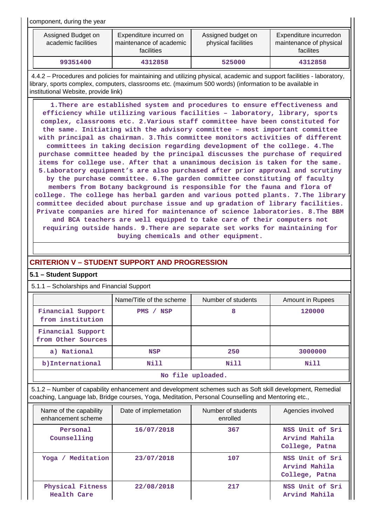component, during the year

| Assigned Budget on<br>academic facilities | Expenditure incurred on<br>maintenance of academic<br><b>facilities</b> | Assigned budget on<br>physical facilities | Expenditure incurredon<br>maintenance of physical<br>facilites |
|-------------------------------------------|-------------------------------------------------------------------------|-------------------------------------------|----------------------------------------------------------------|
| 99351400                                  | 4312858                                                                 | 525000                                    | 4312858                                                        |

 4.4.2 – Procedures and policies for maintaining and utilizing physical, academic and support facilities - laboratory, library, sports complex, computers, classrooms etc. (maximum 500 words) (information to be available in institutional Website, provide link)

 **1.There are established system and procedures to ensure effectiveness and efficiency while utilizing various facilities – laboratory, library, sports complex, classrooms etc. 2.Various staff committee have been constituted for the same. Initiating with the advisory committee – most important committee with principal as chairman. 3.This committee monitors activities of different committees in taking decision regarding development of the college. 4.The purchase committee headed by the principal discusses the purchase of required items for college use. After that a unanimous decision is taken for the same. 5.Laboratory equipment's are also purchased after prior approval and scrutiny by the purchase committee. 6.The garden committee constituting of faculty members from Botany background is responsible for the fauna and flora of college. The college has herbal garden and various potted plants. 7.The library committee decided about purchase issue and up gradation of library facilities. Private companies are hired for maintenance of science laboratories. 8.The BBM and BCA teachers are well equipped to take care of their computers not requiring outside hands. 9.There are separate set works for maintaining for buying chemicals and other equipment.**

# **CRITERION V – STUDENT SUPPORT AND PROGRESSION**

# **5.1 – Student Support**

5.1.1 – Scholarships and Financial Support

|                                         | Name/Title of the scheme | Number of students | Amount in Rupees |  |  |  |  |
|-----------------------------------------|--------------------------|--------------------|------------------|--|--|--|--|
| Financial Support<br>from institution   | PMS / NSP                | 8                  | 120000           |  |  |  |  |
| Financial Support<br>from Other Sources |                          |                    |                  |  |  |  |  |
| a) National                             | <b>NSP</b>               | 250                | 3000000          |  |  |  |  |
| b) International                        | Nill                     | Nill               | Nill             |  |  |  |  |
| No file uploaded.                       |                          |                    |                  |  |  |  |  |

 5.1.2 – Number of capability enhancement and development schemes such as Soft skill development, Remedial coaching, Language lab, Bridge courses, Yoga, Meditation, Personal Counselling and Mentoring etc.,

| Name of the capability<br>enhancement scheme | Date of implemetation | Number of students<br>enrolled | Agencies involved                                  |
|----------------------------------------------|-----------------------|--------------------------------|----------------------------------------------------|
| Personal<br>Counselling                      | 16/07/2018            | 367                            | NSS Unit of Sri<br>Arvind Mahila<br>College, Patna |
| Meditation<br>$Y$ oqa /                      | 23/07/2018            | 107                            | NSS Unit of Sri<br>Arvind Mahila<br>College, Patna |
| Physical Fitness<br>Health Care              | 22/08/2018            | 217                            | NSS Unit of Sri<br>Arvind Mahila                   |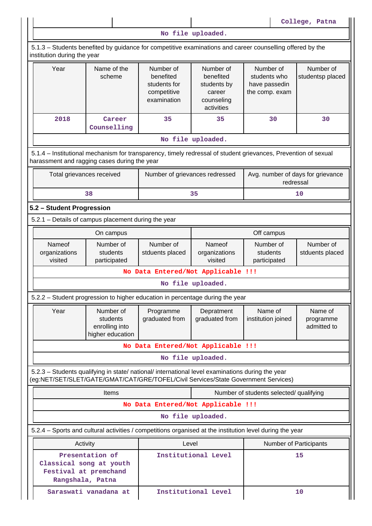**College, Patna No file uploaded.** 5.1.3 – Students benefited by guidance for competitive examinations and career counselling offered by the institution during the year Year | Name of the scheme Number of benefited students for competitive examination Number of benefited students by career counseling activities Number of students who have passedin the comp. exam Number of studentsp placed  **2018 Career Counselling 35** 35 30 30 **No file uploaded.** 5.1.4 – Institutional mechanism for transparency, timely redressal of student grievances, Prevention of sexual harassment and ragging cases during the year Total grievances received | Number of grievances redressed | Avg. number of days for grievance redressal **38 10 10 35 10 5.2 – Student Progression** 5.2.1 – Details of campus placement during the year **On campus On campus On campus Deficiency Off campus** Nameof organizations visited Number of students participated Number of stduents placed Nameof organizations visited Number of students participated Number of stduents placed **No Data Entered/Not Applicable !!! No file uploaded.** 5.2.2 – Student progression to higher education in percentage during the year Year | Number of students enrolling into higher education Programme graduated from **Depratment** graduated from Name of institution joined Name of programme admitted to **No Data Entered/Not Applicable !!! No file uploaded.** 5.2.3 – Students qualifying in state/ national/ international level examinations during the year (eg:NET/SET/SLET/GATE/GMAT/CAT/GRE/TOFEL/Civil Services/State Government Services) Items **Number of students selected/ qualifying No Data Entered/Not Applicable !!! No file uploaded.** 5.2.4 – Sports and cultural activities / competitions organised at the institution level during the year Activity **Activity Level** Level **Number of Participants Presentation of Classical song at youth Festival at premchand Rangshala, Patna Institutional Level 15 Saraswati vanadana at | Institutional Level | 10**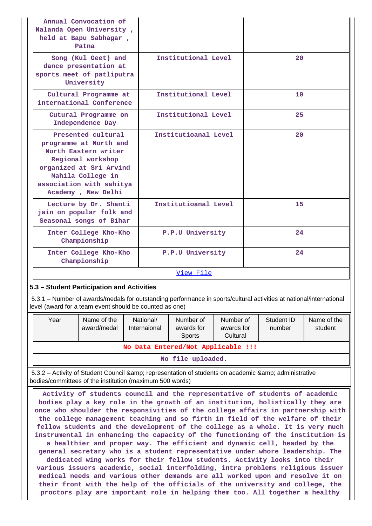| Annual Convocation of<br>Nalanda Open University,<br>held at Bapu Sabhagar,<br>Patna                                                                                                                                                                                                                                                                                                                                                                                                                                                                                                                                                                                                                                                             |                                       |                      |                           |                                   |                                     |    |                      |                        |  |
|--------------------------------------------------------------------------------------------------------------------------------------------------------------------------------------------------------------------------------------------------------------------------------------------------------------------------------------------------------------------------------------------------------------------------------------------------------------------------------------------------------------------------------------------------------------------------------------------------------------------------------------------------------------------------------------------------------------------------------------------------|---------------------------------------|----------------------|---------------------------|-----------------------------------|-------------------------------------|----|----------------------|------------------------|--|
| Song (Kul Geet) and<br>dance presentation at<br>sports meet of patliputra<br>University                                                                                                                                                                                                                                                                                                                                                                                                                                                                                                                                                                                                                                                          |                                       | Institutional Level  |                           |                                   | 20                                  |    |                      |                        |  |
| Cultural Programme at<br>international Conference                                                                                                                                                                                                                                                                                                                                                                                                                                                                                                                                                                                                                                                                                                |                                       |                      |                           | Institutional Level               |                                     |    | 10                   |                        |  |
| Cutural Programme on<br>Independence Day                                                                                                                                                                                                                                                                                                                                                                                                                                                                                                                                                                                                                                                                                                         |                                       |                      |                           | Institutional Level               |                                     |    | 25                   |                        |  |
| Presented cultural<br>programme at North and<br>North Eastern writer<br>Regional workshop<br>organized at Sri Arvind<br>Mahila College in<br>association with sahitya<br>Academy, New Delhi                                                                                                                                                                                                                                                                                                                                                                                                                                                                                                                                                      |                                       | Institutioanal Level |                           |                                   | 20                                  |    |                      |                        |  |
| Lecture by Dr. Shanti<br>jain on popular folk and<br>Seasonal songs of Bihar                                                                                                                                                                                                                                                                                                                                                                                                                                                                                                                                                                                                                                                                     |                                       |                      | Institutioanal Level      |                                   |                                     | 15 |                      |                        |  |
|                                                                                                                                                                                                                                                                                                                                                                                                                                                                                                                                                                                                                                                                                                                                                  | Inter College Kho-Kho<br>Championship |                      |                           | P.P.U University                  |                                     | 24 |                      |                        |  |
| Inter College Kho-Kho<br>Championship                                                                                                                                                                                                                                                                                                                                                                                                                                                                                                                                                                                                                                                                                                            |                                       |                      |                           | P.P.U University<br>24            |                                     |    |                      |                        |  |
|                                                                                                                                                                                                                                                                                                                                                                                                                                                                                                                                                                                                                                                                                                                                                  |                                       |                      |                           | View File                         |                                     |    |                      |                        |  |
| 5.3 - Student Participation and Activities                                                                                                                                                                                                                                                                                                                                                                                                                                                                                                                                                                                                                                                                                                       |                                       |                      |                           |                                   |                                     |    |                      |                        |  |
| 5.3.1 – Number of awards/medals for outstanding performance in sports/cultural activities at national/international<br>level (award for a team event should be counted as one)                                                                                                                                                                                                                                                                                                                                                                                                                                                                                                                                                                   |                                       |                      |                           |                                   |                                     |    |                      |                        |  |
| Year                                                                                                                                                                                                                                                                                                                                                                                                                                                                                                                                                                                                                                                                                                                                             | Name of the<br>award/medal            |                      | National/<br>Internaional | Number of<br>awards for<br>Sports | Number of<br>awards for<br>Cultural |    | Student ID<br>number | Name of the<br>student |  |
|                                                                                                                                                                                                                                                                                                                                                                                                                                                                                                                                                                                                                                                                                                                                                  | No Data Entered/Not Applicable !!!    |                      |                           |                                   |                                     |    |                      |                        |  |
|                                                                                                                                                                                                                                                                                                                                                                                                                                                                                                                                                                                                                                                                                                                                                  | No file uploaded.                     |                      |                           |                                   |                                     |    |                      |                        |  |
| 5.3.2 - Activity of Student Council & amp; representation of students on academic & amp; administrative<br>bodies/committees of the institution (maximum 500 words)                                                                                                                                                                                                                                                                                                                                                                                                                                                                                                                                                                              |                                       |                      |                           |                                   |                                     |    |                      |                        |  |
| Activity of students council and the representative of students of academic<br>bodies play a key role in the growth of an institution, holistically they are<br>once who shoulder the responsivities of the college affairs in partnership with<br>the college management teaching and so firth in field of the welfare of their<br>fellow students and the development of the college as a whole. It is very much<br>instrumental in enhancing the capacity of the functioning of the institution is<br>a healthier and proper way. The efficient and dynamic cell, headed by the<br>general secretary who is a student representative under whore leadership. The<br>dodicated wing works for their follow students. Activity looks into their |                                       |                      |                           |                                   |                                     |    |                      |                        |  |

**dedicated wing works for their fellow students. Activity looks into their various issuers academic, social interfolding, intra problems religious issuer medical needs and various other demands are all worked upon and resolve it on their front with the help of the officials of the university and college, the proctors play are important role in helping them too. All together a healthy**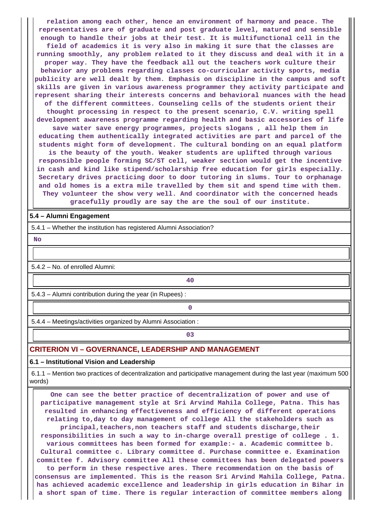**relation among each other, hence an environment of harmony and peace. The representatives are of graduate and post graduate level, matured and sensible enough to handle their jobs at their test. It is multifunctional cell in the field of academics it is very also in making it sure that the classes are running smoothly, any problem related to it they discuss and deal with it in a proper way. They have the feedback all out the teachers work culture their behavior any problems regarding classes co-curricular activity sports, media publicity are well dealt by them. Emphasis on discipline in the campus and soft skills are given in various awareness programmer they activity participate and represent sharing their interests concerns and behavioral nuances with the head of the different committees. Counseling cells of the students orient their thought processing in respect to the present scenario, C.V. writing spell development awareness programme regarding health and basic accessories of life save water save energy programmes, projects slogans , all help them in educating them authentically integrated activities are part and parcel of the students might form of development. The cultural bonding on an equal platform is the beauty of the youth. Weaker students are uplifted through various responsible people forming SC/ST cell, weaker section would get the incentive in cash and kind like stipend/scholarship free education for girls especially. Secretary drives practicing door to door tutoring in slums. Tour to orphanage and old homes is a extra mile travelled by them sit and spend time with them. They volunteer the show very well. And coordinator with the concerned heads gracefully proudly are say the are the soul of our institute.**

#### **5.4 – Alumni Engagement**

5.4.1 – Whether the institution has registered Alumni Association?

 **No**

5.4.2 – No. of enrolled Alumni:

**40**

5.4.3 – Alumni contribution during the year (in Rupees) :

**0**

5.4.4 – Meetings/activities organized by Alumni Association :

**03**

#### **CRITERION VI – GOVERNANCE, LEADERSHIP AND MANAGEMENT**

#### **6.1 – Institutional Vision and Leadership**

 6.1.1 – Mention two practices of decentralization and participative management during the last year (maximum 500 words)

 **One can see the better practice of decentralization of power and use of participative management style at Sri Arvind Mahila College, Patna. This has resulted in enhancing effectiveness and efficiency of different operations relating to,day to day management of college All the stakeholders such as principal,teachers,non teachers staff and students discharge,their responsibilities in such a way to in-charge overall prestige of college . 1. various committees has been formed for example:- a. Academic committee b. Cultural committee c. Library committee d. Purchase committee e. Examination committee f. Advisory committee All these committees has been delegated powers to perform in these respective ares. There recommendation on the basis of consensus are implemented. This is the reason Sri Arvind Mahila College, Patna. has achieved academic excellence and leadership in girls education in Bihar in a short span of time. There is regular interaction of committee members along**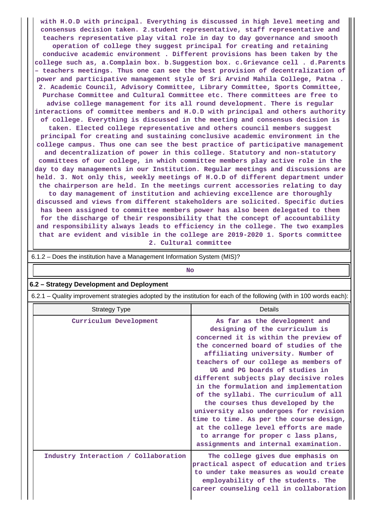**with H.O.D with principal. Everything is discussed in high level meeting and consensus decision taken. 2.student representative, staff representative and teachers representative play vital role in day to day governance and smooth operation of college they suggest principal for creating and retaining conducive academic environment . Different provisions has been taken by the college such as, a.Complain box. b.Suggestion box. c.Grievance cell . d.Parents – teachers meetings. Thus one can see the best provision of decentralization of power and participative management style of Sri Arvind Mahila College, Patna . 2. Academic Council, Advisory Committee, Library Committee, Sports Committee, Purchase Committee and Cultural Committee etc. There committees are free to advise college management for its all round development. There is regular interactions of committee members and H.O.D with principal and others authority of college. Everything is discussed in the meeting and consensus decision is taken. Elected college representative and others council members suggest principal for creating and sustaining conclusive academic environment in the college campus. Thus one can see the best practice of participative management and decentralization of power in this college. Statutory and non-statutory committees of our college, in which committee members play active role in the day to day managements in our Institution. Regular meetings and discussions are held. 3. Not only this, weekly meetings of H.O.D of different department under the chairperson are held. In the meetings current accessories relating to day to day management of institution and achieving excellence are thoroughly discussed and views from different stakeholders are solicited. Specific duties has been assigned to committee members power has also been delegated to them for the discharge of their responsibility that the concept of accountability and responsibility always leads to efficiency in the college. The two examples that are evident and visible in the college are 2019-2020 1. Sports committee 2. Cultural committee**

| 6.1.2 – Does the institution have a Management Information System (MIS)?                                              |                                                                                                                                                                                                                                                                                                                                                                                                                                                                                                                                                                                                                                                  |  |  |  |  |  |  |  |  |
|-----------------------------------------------------------------------------------------------------------------------|--------------------------------------------------------------------------------------------------------------------------------------------------------------------------------------------------------------------------------------------------------------------------------------------------------------------------------------------------------------------------------------------------------------------------------------------------------------------------------------------------------------------------------------------------------------------------------------------------------------------------------------------------|--|--|--|--|--|--|--|--|
|                                                                                                                       | <b>No</b>                                                                                                                                                                                                                                                                                                                                                                                                                                                                                                                                                                                                                                        |  |  |  |  |  |  |  |  |
| 6.2 - Strategy Development and Deployment                                                                             |                                                                                                                                                                                                                                                                                                                                                                                                                                                                                                                                                                                                                                                  |  |  |  |  |  |  |  |  |
| 6.2.1 – Quality improvement strategies adopted by the institution for each of the following (with in 100 words each): |                                                                                                                                                                                                                                                                                                                                                                                                                                                                                                                                                                                                                                                  |  |  |  |  |  |  |  |  |
| <b>Strategy Type</b>                                                                                                  | <b>Details</b>                                                                                                                                                                                                                                                                                                                                                                                                                                                                                                                                                                                                                                   |  |  |  |  |  |  |  |  |
| Curriculum Development                                                                                                | As far as the development and<br>designing of the curriculum is<br>concerned it is within the preview of<br>the concerned board of studies of the<br>affiliating university. Number of<br>teachers of our college as members of<br>UG and PG boards of studies in<br>different subjects play decisive roles<br>in the formulation and implementation<br>of the syllabi. The curriculum of all<br>the courses thus developed by the<br>university also undergoes for revision<br>time to time. As per the course design,<br>at the college level efforts are made<br>to arrange for proper c lass plans,<br>assignments and internal examination. |  |  |  |  |  |  |  |  |
| Industry Interaction / Collaboration                                                                                  | The college gives due emphasis on<br>practical aspect of education and tries<br>to under take measures as would create<br>employability of the students. The<br>career counseling cell in collaboration                                                                                                                                                                                                                                                                                                                                                                                                                                          |  |  |  |  |  |  |  |  |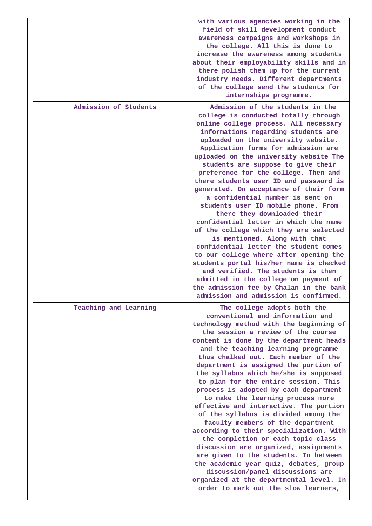|                       | with various agencies working in the<br>field of skill development conduct<br>awareness campaigns and workshops in<br>the college. All this is done to<br>increase the awareness among students<br>about their employability skills and in<br>there polish them up for the current<br>industry needs. Different departments<br>of the college send the students for<br>internships programme.                                                                                                                                                                                                                                                                                                                                                                                                                                                                                                                                                                                     |
|-----------------------|-----------------------------------------------------------------------------------------------------------------------------------------------------------------------------------------------------------------------------------------------------------------------------------------------------------------------------------------------------------------------------------------------------------------------------------------------------------------------------------------------------------------------------------------------------------------------------------------------------------------------------------------------------------------------------------------------------------------------------------------------------------------------------------------------------------------------------------------------------------------------------------------------------------------------------------------------------------------------------------|
| Admission of Students | Admission of the students in the<br>college is conducted totally through<br>online college process. All necessary<br>informations regarding students are<br>uploaded on the university website.<br>Application forms for admission are<br>uploaded on the university website The<br>students are suppose to give their<br>preference for the college. Then and<br>there students user ID and password is<br>generated. On acceptance of their form<br>a confidential number is sent on<br>students user ID mobile phone. From<br>there they downloaded their<br>confidential letter in which the name<br>of the college which they are selected<br>is mentioned. Along with that<br>confidential letter the student comes<br>to our college where after opening the<br>students portal his/her name is checked<br>and verified. The students is then<br>admitted in the college on payment of<br>the admission fee by Chalan in the bank<br>admission and admission is confirmed. |
| Teaching and Learning | The college adopts both the<br>conventional and information and<br>technology method with the beginning of<br>the session a review of the course<br>content is done by the department heads<br>and the teaching learning programme<br>thus chalked out. Each member of the<br>department is assigned the portion of<br>the syllabus which he/she is supposed<br>to plan for the entire session. This<br>process is adopted by each department<br>to make the learning process more<br>effective and interactive. The portion<br>of the syllabus is divided among the<br>faculty members of the department<br>according to their specialization. With<br>the completion or each topic class<br>discussion are organized, assignments<br>are given to the students. In between<br>the academic year quiz, debates, group<br>discussion/panel discussions are<br>organized at the departmental level. In<br>order to mark out the slow learners,                                     |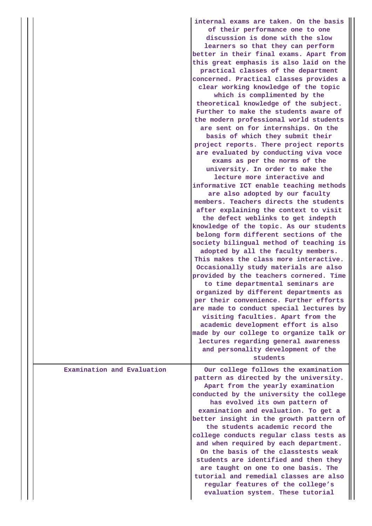|                            | internal exams are taken. On the basis<br>of their performance one to one<br>discussion is done with the slow<br>learners so that they can perform<br>better in their final exams. Apart from<br>this great emphasis is also laid on the<br>practical classes of the department<br>concerned. Practical classes provides a<br>clear working knowledge of the topic<br>which is complimented by the<br>theoretical knowledge of the subject.<br>Further to make the students aware of<br>the modern professional world students<br>are sent on for internships. On the<br>basis of which they submit their<br>project reports. There project reports<br>are evaluated by conducting viva voce<br>exams as per the norms of the<br>university. In order to make the<br>lecture more interactive and<br>informative ICT enable teaching methods<br>are also adopted by our faculty<br>members. Teachers directs the students<br>after explaining the context to visit<br>the defect weblinks to get indepth<br>knowledge of the topic. As our students<br>belong form different sections of the<br>society bilingual method of teaching is<br>adopted by all the faculty members.<br>This makes the class more interactive.<br>Occasionally study materials are also<br>provided by the teachers cornered. Time<br>to time departmental seminars are<br>organized by different departments as<br>per their convenience. Further efforts<br>are made to conduct special lectures by<br>visiting faculties. Apart from the<br>academic development effort is also<br>made by our college to organize talk or<br>lectures regarding general awareness<br>and personality development of the |
|----------------------------|---------------------------------------------------------------------------------------------------------------------------------------------------------------------------------------------------------------------------------------------------------------------------------------------------------------------------------------------------------------------------------------------------------------------------------------------------------------------------------------------------------------------------------------------------------------------------------------------------------------------------------------------------------------------------------------------------------------------------------------------------------------------------------------------------------------------------------------------------------------------------------------------------------------------------------------------------------------------------------------------------------------------------------------------------------------------------------------------------------------------------------------------------------------------------------------------------------------------------------------------------------------------------------------------------------------------------------------------------------------------------------------------------------------------------------------------------------------------------------------------------------------------------------------------------------------------------------------------------------------------------------------------------------------------------------------|
|                            | students                                                                                                                                                                                                                                                                                                                                                                                                                                                                                                                                                                                                                                                                                                                                                                                                                                                                                                                                                                                                                                                                                                                                                                                                                                                                                                                                                                                                                                                                                                                                                                                                                                                                              |
| Examination and Evaluation | Our college follows the examination<br>pattern as directed by the university.<br>Apart from the yearly examination<br>conducted by the university the college<br>has evolved its own pattern of<br>examination and evaluation. To get a<br>better insight in the growth pattern of<br>the students academic record the<br>college conducts regular class tests as<br>and when required by each department.<br>On the basis of the classtests weak<br>students are identified and then they<br>are taught on one to one basis. The<br>tutorial and remedial classes are also<br>regular features of the college's<br>evaluation system. These tutorial                                                                                                                                                                                                                                                                                                                                                                                                                                                                                                                                                                                                                                                                                                                                                                                                                                                                                                                                                                                                                                 |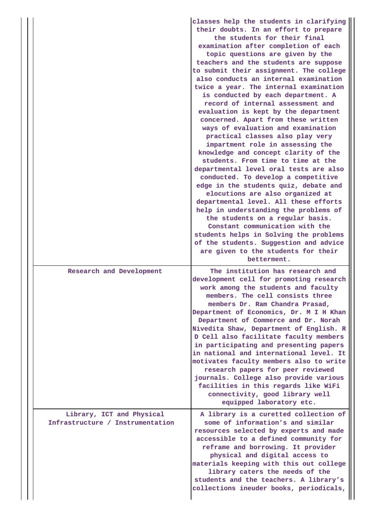|  |                                                               | classes help the students in clarifying<br>their doubts. In an effort to prepare<br>the students for their final<br>examination after completion of each<br>topic questions are given by the<br>teachers and the students are suppose<br>to submit their assignment. The college<br>also conducts an internal examination<br>twice a year. The internal examination<br>is conducted by each department. A<br>record of internal assessment and<br>evaluation is kept by the department<br>concerned. Apart from these written<br>ways of evaluation and examination<br>practical classes also play very<br>impartment role in assessing the<br>knowledge and concept clarity of the<br>students. From time to time at the<br>departmental level oral tests are also<br>conducted. To develop a competitive<br>edge in the students quiz, debate and<br>elocutions are also organized at<br>departmental level. All these efforts<br>help in understanding the problems of<br>the students on a regular basis.<br>Constant communication with the<br>students helps in Solving the problems<br>of the students. Suggestion and advice<br>are given to the students for their<br>betterment. |  |  |  |  |  |
|--|---------------------------------------------------------------|--------------------------------------------------------------------------------------------------------------------------------------------------------------------------------------------------------------------------------------------------------------------------------------------------------------------------------------------------------------------------------------------------------------------------------------------------------------------------------------------------------------------------------------------------------------------------------------------------------------------------------------------------------------------------------------------------------------------------------------------------------------------------------------------------------------------------------------------------------------------------------------------------------------------------------------------------------------------------------------------------------------------------------------------------------------------------------------------------------------------------------------------------------------------------------------------|--|--|--|--|--|
|  | Research and Development                                      | The institution has research and<br>development cell for promoting research<br>work among the students and faculty<br>members. The cell consists three<br>members Dr. Ram Chandra Prasad,<br>Department of Economics, Dr. M I H Khan<br>Department of Commerce and Dr. Norah<br>Nivedita Shaw, Department of English. R<br>D Cell also facilitate faculty members<br>in participating and presenting papers<br>in national and international level. It<br>motivates faculty members also to write<br>research papers for peer reviewed<br>journals. College also provide various<br>facilities in this regards like WiFi<br>connectivity, good library well<br>equipped laboratory etc.                                                                                                                                                                                                                                                                                                                                                                                                                                                                                                    |  |  |  |  |  |
|  | Library, ICT and Physical<br>Infrastructure / Instrumentation | A library is a curetted collection of<br>some of information's and similar<br>resources selected by experts and made<br>accessible to a defined community for<br>reframe and borrowing. It provider<br>physical and digital access to<br>materials keeping with this out college<br>library caters the needs of the<br>students and the teachers. A library's<br>collections ineuder books, periodicals,                                                                                                                                                                                                                                                                                                                                                                                                                                                                                                                                                                                                                                                                                                                                                                                   |  |  |  |  |  |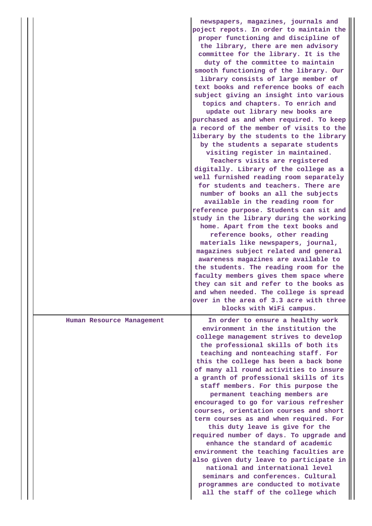|                           | newspapers, magazines, journals and<br>poject repots. In order to maintain the<br>proper functioning and discipline of<br>the library, there are men advisory        |
|---------------------------|----------------------------------------------------------------------------------------------------------------------------------------------------------------------|
|                           | committee for the library. It is the<br>duty of the committee to maintain<br>smooth functioning of the library. Our<br>library consists of large member of           |
|                           | text books and reference books of each<br>subject giving an insight into various<br>topics and chapters. To enrich and<br>update out library new books are           |
|                           | purchased as and when required. To keep<br>a record of the member of visits to the<br>liberary by the students to the library<br>by the students a separate students |
|                           | visiting register in maintained.<br>Teachers visits are registered<br>digitally. Library of the college as a<br>well furnished reading room separately               |
|                           | for students and teachers. There are<br>number of books an all the subjects<br>available in the reading room for<br>reference purpose. Students can sit and          |
|                           | study in the library during the working<br>home. Apart from the text books and<br>reference books, other reading<br>materials like newspapers, journal,              |
|                           | magazines subject related and general<br>awareness magazines are available to<br>the students. The reading room for the<br>faculty members gives them space where    |
|                           | they can sit and refer to the books as<br>and when needed. The college is spread<br>over in the area of 3.3 acre with three<br>blocks with WiFi campus.              |
| Human Resource Management | In order to ensure a healthy work<br>environment in the institution the<br>college management strives to develop<br>the professional skills of both its              |
|                           | teaching and nonteaching staff. For<br>this the college has been a back bone<br>of many all round activities to insure<br>a granth of professional skills of its     |
|                           | staff members. For this purpose the<br>permanent teaching members are<br>encouraged to go for various refresher<br>courses, orientation courses and short            |
|                           | term courses as and when required. For<br>this duty leave is give for the<br>required number of days. To upgrade and<br>enhance the standard of academic             |
|                           | environment the teaching faculties are<br>also given duty leave to participate in<br>national and international level<br>seminars and conferences. Cultural          |
|                           |                                                                                                                                                                      |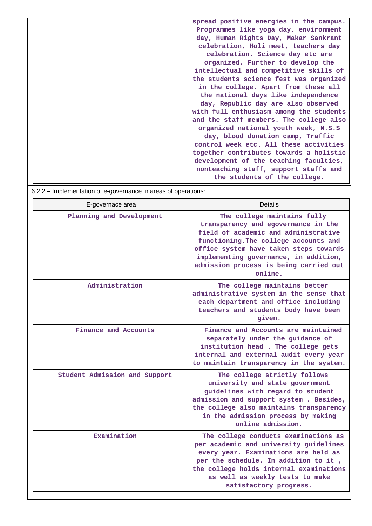**spread positive energies in the campus. Programmes like yoga day, environment day, Human Rights Day, Makar Sankrant celebration, Holi meet, teachers day celebration. Science day etc are organized. Further to develop the intellectual and competitive skills of the students science fest was organized in the college. Apart from these all the national days like independence day, Republic day are also observed with full enthusiasm among the students and the staff members. The college also organized national youth week, N.S.S day, blood donation camp, Traffic control week etc. All these activities together contributes towards a holistic development of the teaching faculties, nonteaching staff, support staffs and the students of the college.**

 6.2.2 – Implementation of e-governance in areas of operations: E-governace area **Details** Planning and Development The college maintains fully **transparency and egovernance in the field of academic and administrative functioning.The college accounts and office system have taken steps towards implementing governance, in addition, admission process is being carried out online. Administration The college maintains better administrative system in the sense that each department and office including teachers and students body have been given. Finance and Accounts Finance and Accounts are maintained separately under the guidance of institution head . The college gets internal and external audit every year to maintain transparency in the system. Student Admission and Support The college strictly follows university and state government guidelines with regard to student admission and support system . Besides, the college also maintains transparency in the admission process by making online admission. Examination The college conducts examinations as per academic and university guidelines every year. Examinations are held as per the schedule. In addition to it , the college holds internal examinations as well as weekly tests to make satisfactory progress.**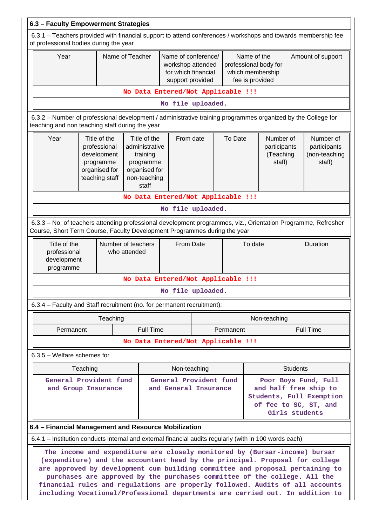| 6.3 - Faculty Empowerment Strategies                                                                                                                                                                                                                                                                                                                                                                                                                                                       |                                                                                                                                                                                            |          |                                                                                                   |                                                                                     |                                                 |                                                                             |                                                                                                                      |              |                   |                                                      |
|--------------------------------------------------------------------------------------------------------------------------------------------------------------------------------------------------------------------------------------------------------------------------------------------------------------------------------------------------------------------------------------------------------------------------------------------------------------------------------------------|--------------------------------------------------------------------------------------------------------------------------------------------------------------------------------------------|----------|---------------------------------------------------------------------------------------------------|-------------------------------------------------------------------------------------|-------------------------------------------------|-----------------------------------------------------------------------------|----------------------------------------------------------------------------------------------------------------------|--------------|-------------------|------------------------------------------------------|
| 6.3.1 – Teachers provided with financial support to attend conferences / workshops and towards membership fee<br>of professional bodies during the year                                                                                                                                                                                                                                                                                                                                    |                                                                                                                                                                                            |          |                                                                                                   |                                                                                     |                                                 |                                                                             |                                                                                                                      |              |                   |                                                      |
| Year                                                                                                                                                                                                                                                                                                                                                                                                                                                                                       | Name of Teacher                                                                                                                                                                            |          |                                                                                                   | Name of conference/<br>workshop attended<br>for which financial<br>support provided |                                                 | Name of the<br>professional body for<br>which membership<br>fee is provided |                                                                                                                      |              | Amount of support |                                                      |
|                                                                                                                                                                                                                                                                                                                                                                                                                                                                                            | No Data Entered/Not Applicable !!!                                                                                                                                                         |          |                                                                                                   |                                                                                     |                                                 |                                                                             |                                                                                                                      |              |                   |                                                      |
|                                                                                                                                                                                                                                                                                                                                                                                                                                                                                            |                                                                                                                                                                                            |          |                                                                                                   | No file uploaded.                                                                   |                                                 |                                                                             |                                                                                                                      |              |                   |                                                      |
| 6.3.2 – Number of professional development / administrative training programmes organized by the College for<br>teaching and non teaching staff during the year                                                                                                                                                                                                                                                                                                                            |                                                                                                                                                                                            |          |                                                                                                   |                                                                                     |                                                 |                                                                             |                                                                                                                      |              |                   |                                                      |
| Year                                                                                                                                                                                                                                                                                                                                                                                                                                                                                       | Title of the<br>professional<br>development<br>programme<br>organised for<br>teaching staff                                                                                                |          | Title of the<br>administrative<br>training<br>programme<br>organised for<br>non-teaching<br>staff | From date                                                                           |                                                 | To Date                                                                     | Number of<br>participants<br>(Teaching<br>staff)                                                                     |              |                   | Number of<br>participants<br>(non-teaching<br>staff) |
|                                                                                                                                                                                                                                                                                                                                                                                                                                                                                            |                                                                                                                                                                                            |          |                                                                                                   | No Data Entered/Not Applicable !!!                                                  |                                                 |                                                                             |                                                                                                                      |              |                   |                                                      |
|                                                                                                                                                                                                                                                                                                                                                                                                                                                                                            |                                                                                                                                                                                            |          |                                                                                                   | No file uploaded.                                                                   |                                                 |                                                                             |                                                                                                                      |              |                   |                                                      |
|                                                                                                                                                                                                                                                                                                                                                                                                                                                                                            | 6.3.3 - No. of teachers attending professional development programmes, viz., Orientation Programme, Refresher<br>Course, Short Term Course, Faculty Development Programmes during the year |          |                                                                                                   |                                                                                     |                                                 |                                                                             |                                                                                                                      |              |                   |                                                      |
| Title of the<br>professional<br>development<br>programme                                                                                                                                                                                                                                                                                                                                                                                                                                   |                                                                                                                                                                                            |          | Number of teachers<br>who attended                                                                | From Date                                                                           |                                                 |                                                                             | To date                                                                                                              |              | Duration          |                                                      |
|                                                                                                                                                                                                                                                                                                                                                                                                                                                                                            |                                                                                                                                                                                            |          |                                                                                                   | No Data Entered/Not Applicable !!!                                                  |                                                 |                                                                             |                                                                                                                      |              |                   |                                                      |
|                                                                                                                                                                                                                                                                                                                                                                                                                                                                                            |                                                                                                                                                                                            |          |                                                                                                   | No file uploaded.                                                                   |                                                 |                                                                             |                                                                                                                      |              |                   |                                                      |
| 6.3.4 – Faculty and Staff recruitment (no. for permanent recruitment):                                                                                                                                                                                                                                                                                                                                                                                                                     |                                                                                                                                                                                            |          |                                                                                                   |                                                                                     |                                                 |                                                                             |                                                                                                                      |              |                   |                                                      |
|                                                                                                                                                                                                                                                                                                                                                                                                                                                                                            |                                                                                                                                                                                            | Teaching |                                                                                                   |                                                                                     |                                                 |                                                                             |                                                                                                                      | Non-teaching |                   |                                                      |
| Permanent                                                                                                                                                                                                                                                                                                                                                                                                                                                                                  |                                                                                                                                                                                            |          | <b>Full Time</b>                                                                                  | Permanent                                                                           |                                                 |                                                                             | <b>Full Time</b>                                                                                                     |              |                   |                                                      |
|                                                                                                                                                                                                                                                                                                                                                                                                                                                                                            |                                                                                                                                                                                            |          |                                                                                                   | No Data Entered/Not Applicable !!!                                                  |                                                 |                                                                             |                                                                                                                      |              |                   |                                                      |
| $6.3.5$ – Welfare schemes for                                                                                                                                                                                                                                                                                                                                                                                                                                                              |                                                                                                                                                                                            |          |                                                                                                   |                                                                                     |                                                 |                                                                             |                                                                                                                      |              |                   |                                                      |
|                                                                                                                                                                                                                                                                                                                                                                                                                                                                                            | Teaching                                                                                                                                                                                   |          |                                                                                                   | Non-teaching                                                                        |                                                 |                                                                             |                                                                                                                      |              | <b>Students</b>   |                                                      |
| General Provident fund<br>and Group Insurance                                                                                                                                                                                                                                                                                                                                                                                                                                              |                                                                                                                                                                                            |          |                                                                                                   |                                                                                     | General Provident fund<br>and General Insurance |                                                                             | Poor Boys Fund, Full<br>and half free ship to<br>Students, Full Exemption<br>of fee to SC, ST, and<br>Girls students |              |                   |                                                      |
| 6.4 - Financial Management and Resource Mobilization                                                                                                                                                                                                                                                                                                                                                                                                                                       |                                                                                                                                                                                            |          |                                                                                                   |                                                                                     |                                                 |                                                                             |                                                                                                                      |              |                   |                                                      |
| 6.4.1 – Institution conducts internal and external financial audits regularly (with in 100 words each)                                                                                                                                                                                                                                                                                                                                                                                     |                                                                                                                                                                                            |          |                                                                                                   |                                                                                     |                                                 |                                                                             |                                                                                                                      |              |                   |                                                      |
| The income and expenditure are closely monitored by (Bursar-income) bursar<br>(expenditure) and the accountant head by the principal. Proposal for college<br>are approved by development cum building committee and proposal pertaining to<br>purchases are approved by the purchases committee of the college. All the<br>financial rules and regulations are properly followed. Audits of all accounts<br>including Vocational/Professional departments are carried out. In addition to |                                                                                                                                                                                            |          |                                                                                                   |                                                                                     |                                                 |                                                                             |                                                                                                                      |              |                   |                                                      |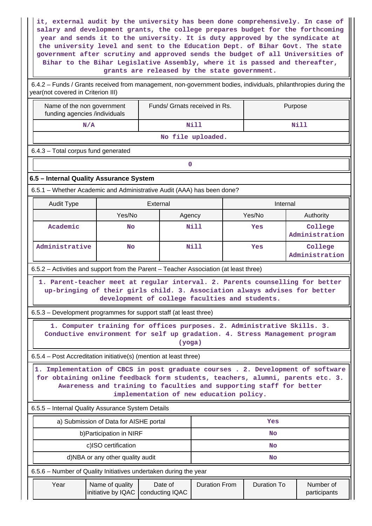**it, external audit by the university has been done comprehensively. In case of salary and development grants, the college prepares budget for the forthcoming year and sends it to the university. It is duty approved by the syndicate at the university level and sent to the Education Dept. of Bihar Govt. The state government after scrutiny and approved sends the budget of all Universities of Bihar to the Bihar Legislative Assembly, where it is passed and thereafter, grants are released by the state government.**

 6.4.2 – Funds / Grants received from management, non-government bodies, individuals, philanthropies during the year(not covered in Criterion III)

| Name of the non government<br>funding agencies /individuals                                                                                                                                                                                                                         |     | Funds/ Grnats received in Rs. |                      |  | Purpose                          |                           |  |  |  |
|-------------------------------------------------------------------------------------------------------------------------------------------------------------------------------------------------------------------------------------------------------------------------------------|-----|-------------------------------|----------------------|--|----------------------------------|---------------------------|--|--|--|
| N/A                                                                                                                                                                                                                                                                                 |     |                               | Nill                 |  |                                  | Nill                      |  |  |  |
| No file uploaded.                                                                                                                                                                                                                                                                   |     |                               |                      |  |                                  |                           |  |  |  |
| 6.4.3 - Total corpus fund generated                                                                                                                                                                                                                                                 |     |                               |                      |  |                                  |                           |  |  |  |
|                                                                                                                                                                                                                                                                                     |     | $\mathbf 0$                   |                      |  |                                  |                           |  |  |  |
| 6.5 - Internal Quality Assurance System                                                                                                                                                                                                                                             |     |                               |                      |  |                                  |                           |  |  |  |
| 6.5.1 - Whether Academic and Administrative Audit (AAA) has been done?                                                                                                                                                                                                              |     |                               |                      |  |                                  |                           |  |  |  |
| External<br>Internal<br><b>Audit Type</b>                                                                                                                                                                                                                                           |     |                               |                      |  |                                  |                           |  |  |  |
| Yes/No                                                                                                                                                                                                                                                                              |     | Agency                        |                      |  | Yes/No                           | Authority                 |  |  |  |
| Academic                                                                                                                                                                                                                                                                            | No  |                               | Nill                 |  | Yes                              | College<br>Administration |  |  |  |
| Administrative                                                                                                                                                                                                                                                                      | No  |                               | <b>Nill</b>          |  | College<br>Yes<br>Administration |                           |  |  |  |
| 6.5.2 – Activities and support from the Parent – Teacher Association (at least three)                                                                                                                                                                                               |     |                               |                      |  |                                  |                           |  |  |  |
| 1. Parent-teacher meet at regular interval. 2. Parents counselling for better<br>up-bringing of their girls child. 3. Association always advises for better<br>development of college faculties and students.                                                                       |     |                               |                      |  |                                  |                           |  |  |  |
| 6.5.3 – Development programmes for support staff (at least three)                                                                                                                                                                                                                   |     |                               |                      |  |                                  |                           |  |  |  |
| 1. Computer training for offices purposes. 2. Administrative Skills. 3.<br>Conductive environment for self up gradation. 4. Stress Management program<br>(yoga)                                                                                                                     |     |                               |                      |  |                                  |                           |  |  |  |
| 6.5.4 – Post Accreditation initiative(s) (mention at least three)                                                                                                                                                                                                                   |     |                               |                      |  |                                  |                           |  |  |  |
| 1. Implementation of CBCS in post graduate courses . 2. Development of software<br>for obtaining online feedback form students, teachers, alumni, parents etc. 3.<br>Awareness and training to faculties and supporting staff for better<br>implementation of new education policy. |     |                               |                      |  |                                  |                           |  |  |  |
| 6.5.5 - Internal Quality Assurance System Details                                                                                                                                                                                                                                   |     |                               |                      |  |                                  |                           |  |  |  |
| a) Submission of Data for AISHE portal                                                                                                                                                                                                                                              | Yes |                               |                      |  |                                  |                           |  |  |  |
| b) Participation in NIRF                                                                                                                                                                                                                                                            | No  |                               |                      |  |                                  |                           |  |  |  |
| c)ISO certification                                                                                                                                                                                                                                                                 | No  |                               |                      |  |                                  |                           |  |  |  |
| d)NBA or any other quality audit<br>No                                                                                                                                                                                                                                              |     |                               |                      |  |                                  |                           |  |  |  |
| 6.5.6 – Number of Quality Initiatives undertaken during the year                                                                                                                                                                                                                    |     |                               |                      |  |                                  |                           |  |  |  |
| Year<br>Name of quality<br>initiative by IQAC                                                                                                                                                                                                                                       |     | Date of<br>conducting IQAC    | <b>Duration From</b> |  | <b>Duration To</b>               | Number of<br>participants |  |  |  |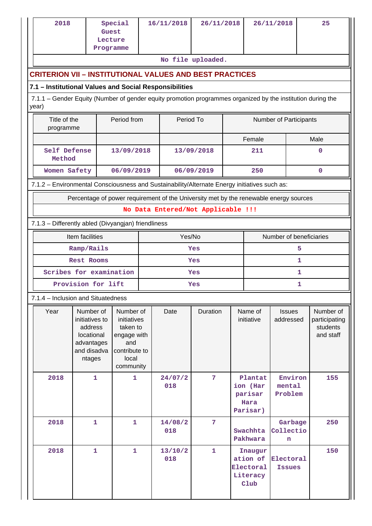| 2018                                                                                                                 | Guest<br>Lecture<br>Programme                                                               | Special                                                                                           |     | 16/11/2018     | 26/11/2018                         |  |                                                                                    | 26/11/2018                   | 25                                                  |  |  |
|----------------------------------------------------------------------------------------------------------------------|---------------------------------------------------------------------------------------------|---------------------------------------------------------------------------------------------------|-----|----------------|------------------------------------|--|------------------------------------------------------------------------------------|------------------------------|-----------------------------------------------------|--|--|
| No file uploaded.<br><b>CRITERION VII - INSTITUTIONAL VALUES AND BEST PRACTICES</b>                                  |                                                                                             |                                                                                                   |     |                |                                    |  |                                                                                    |                              |                                                     |  |  |
| 7.1 - Institutional Values and Social Responsibilities                                                               |                                                                                             |                                                                                                   |     |                |                                    |  |                                                                                    |                              |                                                     |  |  |
| 7.1.1 - Gender Equity (Number of gender equity promotion programmes organized by the institution during the<br>year) |                                                                                             |                                                                                                   |     |                |                                    |  |                                                                                    |                              |                                                     |  |  |
|                                                                                                                      | Title of the<br>Period from<br>Period To<br>Number of Participants<br>programme             |                                                                                                   |     |                |                                    |  |                                                                                    |                              |                                                     |  |  |
|                                                                                                                      |                                                                                             |                                                                                                   |     |                |                                    |  | Female                                                                             |                              | Male                                                |  |  |
| Self Defense<br>Method                                                                                               |                                                                                             | 13/09/2018                                                                                        |     |                | 13/09/2018                         |  | 211                                                                                |                              | 0                                                   |  |  |
| Women Safety                                                                                                         |                                                                                             | 06/09/2019                                                                                        |     |                | 06/09/2019                         |  | 250                                                                                |                              | 0                                                   |  |  |
| 7.1.2 - Environmental Consciousness and Sustainability/Alternate Energy initiatives such as:                         |                                                                                             |                                                                                                   |     |                |                                    |  |                                                                                    |                              |                                                     |  |  |
| Percentage of power requirement of the University met by the renewable energy sources                                |                                                                                             |                                                                                                   |     |                |                                    |  |                                                                                    |                              |                                                     |  |  |
|                                                                                                                      |                                                                                             |                                                                                                   |     |                | No Data Entered/Not Applicable !!! |  |                                                                                    |                              |                                                     |  |  |
| 7.1.3 - Differently abled (Divyangjan) friendliness                                                                  |                                                                                             |                                                                                                   |     |                |                                    |  |                                                                                    |                              |                                                     |  |  |
|                                                                                                                      | Item facilities                                                                             |                                                                                                   |     |                | Yes/No                             |  |                                                                                    | Number of beneficiaries      |                                                     |  |  |
|                                                                                                                      | Ramp/Rails<br>5<br>Yes                                                                      |                                                                                                   |     |                |                                    |  |                                                                                    |                              |                                                     |  |  |
| Rest Rooms                                                                                                           |                                                                                             |                                                                                                   |     | Yes            |                                    |  |                                                                                    | 1                            |                                                     |  |  |
| Scribes for examination                                                                                              |                                                                                             |                                                                                                   | Yes |                |                                    |  | 1                                                                                  |                              |                                                     |  |  |
|                                                                                                                      | Provision for lift<br>1<br>Yes                                                              |                                                                                                   |     |                |                                    |  |                                                                                    |                              |                                                     |  |  |
| 7.1.4 - Inclusion and Situatedness                                                                                   |                                                                                             |                                                                                                   |     |                |                                    |  |                                                                                    |                              |                                                     |  |  |
| Year                                                                                                                 | Number of<br>initiatives to<br>address<br>locational<br>advantages<br>and disadva<br>ntages | Number of<br>initiatives<br>taken to<br>engage with<br>and<br>contribute to<br>local<br>community |     | Date           | Duration                           |  | Name of<br>initiative                                                              | <b>Issues</b><br>addressed   | Number of<br>participating<br>students<br>and staff |  |  |
| 2018                                                                                                                 | $\mathbf{1}$                                                                                | $\mathbf{1}$                                                                                      |     | 24/07/2<br>018 | $\overline{7}$                     |  | Plantat<br>ion (Har<br>parisar<br>Hara<br>Parisar)                                 | Environ<br>mental<br>Problem | 155                                                 |  |  |
| 2018                                                                                                                 | $\mathbf{1}$                                                                                | 1                                                                                                 |     | 14/08/2<br>018 | 7                                  |  | Swachhta<br>Pakhwara                                                               | Garbage<br>Collectio<br>n    | 250                                                 |  |  |
| 2018                                                                                                                 | $\mathbf{1}$                                                                                | $\mathbf{1}$                                                                                      |     | 13/10/2<br>018 | $\mathbf{1}$                       |  | Inaugur<br>ation of<br>Electoral<br>Electoral<br><b>Issues</b><br>Literacy<br>C1ub |                              | 150                                                 |  |  |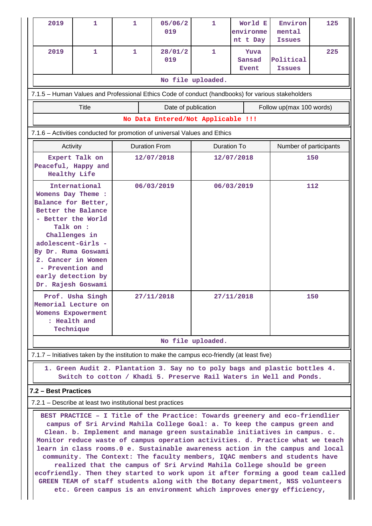| 2019                                                                                              | 1                                                                                                                                                                                                                                                                                                                                                                                                                                                                                                                                                                                                                                                                                                                                                                                                                 | 1                    | 05/06/2<br>019                     | 1                 | World E<br>environme<br>nt t Day | Environ<br>mental<br><b>Issues</b> | 125 |  |  |  |
|---------------------------------------------------------------------------------------------------|-------------------------------------------------------------------------------------------------------------------------------------------------------------------------------------------------------------------------------------------------------------------------------------------------------------------------------------------------------------------------------------------------------------------------------------------------------------------------------------------------------------------------------------------------------------------------------------------------------------------------------------------------------------------------------------------------------------------------------------------------------------------------------------------------------------------|----------------------|------------------------------------|-------------------|----------------------------------|------------------------------------|-----|--|--|--|
| 2019                                                                                              | $\mathbf{1}$                                                                                                                                                                                                                                                                                                                                                                                                                                                                                                                                                                                                                                                                                                                                                                                                      | $\mathbf{1}$         | 28/01/2<br>019                     | $\mathbf{1}$      | Yuva<br>Sansad<br><b>Event</b>   | Political<br><b>Issues</b>         | 225 |  |  |  |
|                                                                                                   |                                                                                                                                                                                                                                                                                                                                                                                                                                                                                                                                                                                                                                                                                                                                                                                                                   |                      |                                    | No file uploaded. |                                  |                                    |     |  |  |  |
| 7.1.5 - Human Values and Professional Ethics Code of conduct (handbooks) for various stakeholders |                                                                                                                                                                                                                                                                                                                                                                                                                                                                                                                                                                                                                                                                                                                                                                                                                   |                      |                                    |                   |                                  |                                    |     |  |  |  |
| <b>Title</b><br>Date of publication<br>Follow up(max 100 words)                                   |                                                                                                                                                                                                                                                                                                                                                                                                                                                                                                                                                                                                                                                                                                                                                                                                                   |                      |                                    |                   |                                  |                                    |     |  |  |  |
|                                                                                                   |                                                                                                                                                                                                                                                                                                                                                                                                                                                                                                                                                                                                                                                                                                                                                                                                                   |                      | No Data Entered/Not Applicable !!! |                   |                                  |                                    |     |  |  |  |
|                                                                                                   | 7.1.6 - Activities conducted for promotion of universal Values and Ethics                                                                                                                                                                                                                                                                                                                                                                                                                                                                                                                                                                                                                                                                                                                                         |                      |                                    |                   |                                  |                                    |     |  |  |  |
|                                                                                                   | Activity                                                                                                                                                                                                                                                                                                                                                                                                                                                                                                                                                                                                                                                                                                                                                                                                          | <b>Duration From</b> |                                    | Duration To       |                                  | Number of participants             |     |  |  |  |
|                                                                                                   | Expert Talk on<br>Peaceful, Happy and<br><b>Healthy Life</b>                                                                                                                                                                                                                                                                                                                                                                                                                                                                                                                                                                                                                                                                                                                                                      |                      | 12/07/2018                         |                   | 12/07/2018                       | 150                                |     |  |  |  |
| Womens Day Theme :<br>Talk on :                                                                   | International<br>Balance for Better,<br>Better the Balance<br>- Better the World<br>Challenges in<br>adolescent-Girls -<br>By Dr. Ruma Goswami<br>2. Cancer in Women<br>- Prevention and<br>early detection by<br>Dr. Rajesh Goswami                                                                                                                                                                                                                                                                                                                                                                                                                                                                                                                                                                              |                      | 06/03/2019                         |                   | 06/03/2019                       | 112                                |     |  |  |  |
|                                                                                                   | Prof. Usha Singh<br>Memorial Lecture on<br><b>Womens Expowerment</b><br>: Health and<br>Technique                                                                                                                                                                                                                                                                                                                                                                                                                                                                                                                                                                                                                                                                                                                 |                      | 27/11/2018                         | 27/11/2018        |                                  | 150                                |     |  |  |  |
|                                                                                                   |                                                                                                                                                                                                                                                                                                                                                                                                                                                                                                                                                                                                                                                                                                                                                                                                                   |                      |                                    | No file uploaded. |                                  |                                    |     |  |  |  |
|                                                                                                   | 7.1.7 – Initiatives taken by the institution to make the campus eco-friendly (at least five)                                                                                                                                                                                                                                                                                                                                                                                                                                                                                                                                                                                                                                                                                                                      |                      |                                    |                   |                                  |                                    |     |  |  |  |
|                                                                                                   | 1. Green Audit 2. Plantation 3. Say no to poly bags and plastic bottles 4.<br>Switch to cotton / Khadi 5. Preserve Rail Waters in Well and Ponds.                                                                                                                                                                                                                                                                                                                                                                                                                                                                                                                                                                                                                                                                 |                      |                                    |                   |                                  |                                    |     |  |  |  |
| 7.2 - Best Practices                                                                              |                                                                                                                                                                                                                                                                                                                                                                                                                                                                                                                                                                                                                                                                                                                                                                                                                   |                      |                                    |                   |                                  |                                    |     |  |  |  |
|                                                                                                   | 7.2.1 – Describe at least two institutional best practices                                                                                                                                                                                                                                                                                                                                                                                                                                                                                                                                                                                                                                                                                                                                                        |                      |                                    |                   |                                  |                                    |     |  |  |  |
|                                                                                                   | BEST PRACTICE - I Title of the Practice: Towards greenery and eco-friendlier<br>campus of Sri Arvind Mahila College Goal: a. To keep the campus green and<br>Clean. b. Implement and manage green sustainable initiatives in campus. c.<br>Monitor reduce waste of campus operation activities. d. Practice what we teach<br>learn in class rooms. 0 e. Sustainable awareness action in the campus and local<br>community. The Context: The faculty members, IQAC members and students have<br>realized that the campus of Sri Arvind Mahila College should be green<br>ecofriendly. Then they started to work upon it after forming a good team called<br>GREEN TEAM of staff students along with the Botany department, NSS volunteers<br>etc. Green campus is an environment which improves energy efficiency, |                      |                                    |                   |                                  |                                    |     |  |  |  |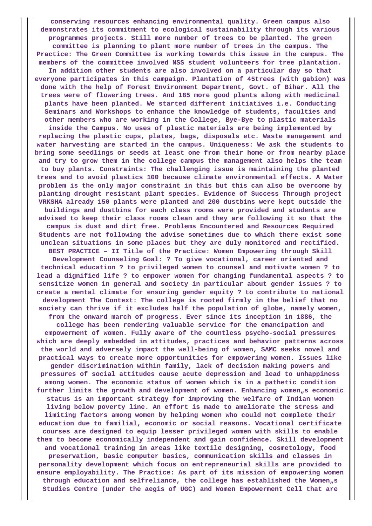**conserving resources enhancing environmental quality. Green campus also demonstrates its commitment to ecological sustainability through its various programmes projects. Still more number of trees to be planted. The green committee is planning to plant more number of trees in the campus. The Practice: The Green Committee is working towards this issue in the campus. The members of the committee involved NSS student volunteers for tree plantation. In addition other students are also involved on a particular day so that everyone participates in this campaign. Plantation of 45trees (with gabion) was done with the help of Forest Environment Department, Govt. of Bihar. All the trees were of flowering trees. And 185 more good plants along with medicinal plants have been planted. We started different initiatives i.e. Conducting Seminars and Workshops to enhance the knowledge of students, faculties and other members who are working in the College, Bye-Bye to plastic materials inside the Campus. No uses of plastic materials are being implemented by replacing the plastic cups, plates, bags, disposals etc. Waste management and water harvesting are started in the campus. Uniqueness: We ask the students to bring some seedlings or seeds at least one from their home or from nearby place and try to grow them in the college campus the management also helps the team to buy plants. Constraints: The challenging issue is maintaining the planted trees and to avoid plastics 100 because climate environmental effects. A Water problem is the only major constraint in this but this can also be overcome by planting drought resistant plant species. Evidence of Success Through project VRKSHA already 150 plants were planted and 200 dustbins were kept outside the buildings and dustbins for each class rooms were provided and students are advised to keep their class rooms clean and they are following it so that the campus is dust and dirt free. Problems Encountered and Resources Required Students are not following the advise sometimes due to which there exist some unclean situations in some places but they are duly monitored and rectified. BEST PRACTICE – II Title of the Practice: Women Empowering through Skill Development Counseling Goal: ? To give vocational, career oriented and technical education ? to privileged women to counsel and motivate women ? to lead a dignified life ? to empower women for changing fundamental aspects ? to sensitize women in general and society in particular about gender issues ? to create a mental climate for ensuring gender equity ? to contribute to national development The Context: The college is rooted firmly in the belief that no society can thrive if it excludes half the population of globe, namely women, from the onward march of progress. Ever since its inception in 1886, the college has been rendering valuable service for the emancipation and empowerment of women. Fully aware of the countless psycho-social pressures which are deeply embedded in attitudes, practices and behavior patterns across the world and adversely impact the well-being of women, SAMC seeks novel and practical ways to create more opportunities for empowering women. Issues like gender discrimination within family, lack of decision making powers and pressures of social attitudes cause acute depression and lead to unhappiness among women. The economic status of women which is in a pathetic condition** further limits the growth and development of women. Enhancing women<sub>n</sub>s economic **status is an important strategy for improving the welfare of Indian women living below poverty line. An effort is made to ameliorate the stress and limiting factors among women by helping women who could not complete their education due to familial, economic or social reasons. Vocational certificate courses are designed to equip lesser privileged women with skills to enable them to become economically independent and gain confidence. Skill development and vocational training in areas like textile designing, cosmetology, food preservation, basic computer basics, communication skills and classes in personality development which focus on entrepreneurial skills are provided to ensure employability. The Practice: As part of its mission of empowering women** through education and selfreliance, the college has established the Women<sub>n</sub>s **Studies Centre (under the aegis of UGC) and Women Empowerment Cell that are**